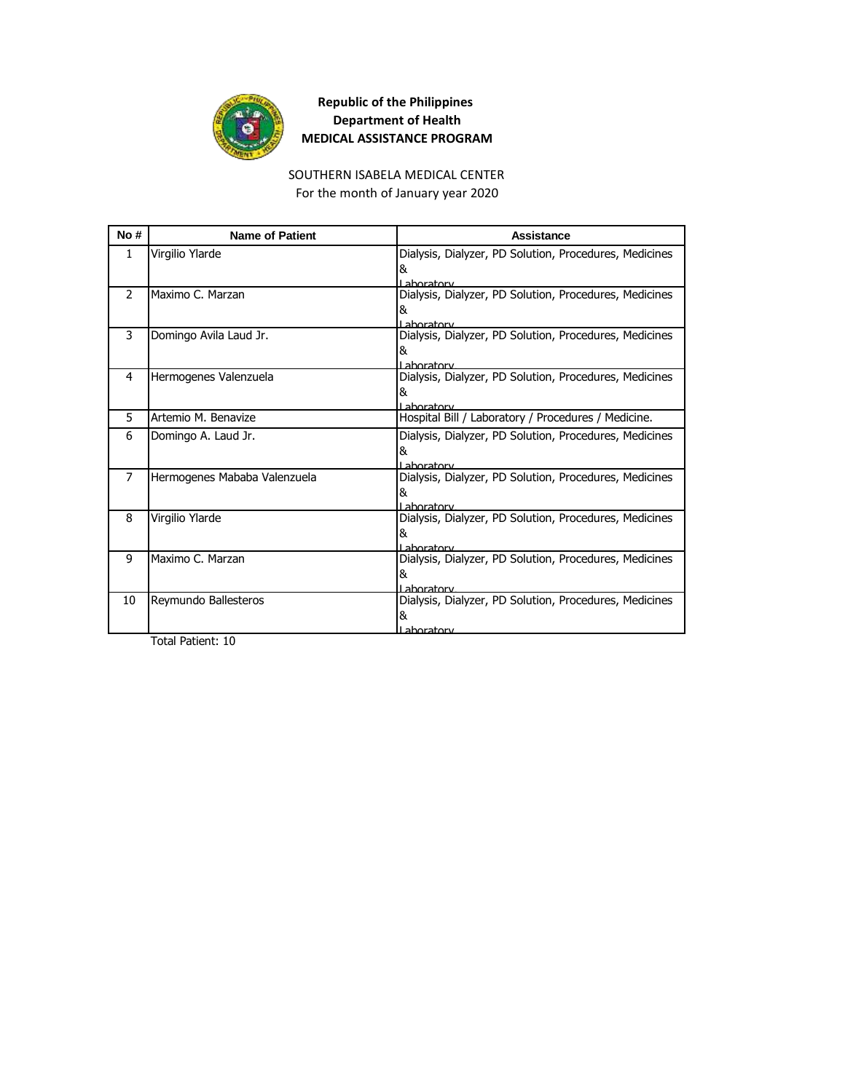

#### SOUTHERN ISABELA MEDICAL CENTER For the month of January year 2020

| No#            | <b>Name of Patient</b>       | Assistance                                                                 |
|----------------|------------------------------|----------------------------------------------------------------------------|
| $\mathbf{1}$   | Virgilio Ylarde              | Dialysis, Dialyzer, PD Solution, Procedures, Medicines<br>&<br>I aboratory |
| $\mathcal{P}$  | Maximo C. Marzan             | Dialysis, Dialyzer, PD Solution, Procedures, Medicines<br>&<br>Laboratory  |
| 3              | Domingo Avila Laud Jr.       | Dialysis, Dialyzer, PD Solution, Procedures, Medicines<br>&<br>I ahoratory |
| 4              | Hermogenes Valenzuela        | Dialysis, Dialyzer, PD Solution, Procedures, Medicines<br>&<br>I aboratory |
| 5              | Artemio M. Benavize          | Hospital Bill / Laboratory / Procedures / Medicine.                        |
| 6              | Domingo A. Laud Jr.          | Dialysis, Dialyzer, PD Solution, Procedures, Medicines<br>&<br>I ahoratory |
| $\overline{7}$ | Hermogenes Mababa Valenzuela | Dialysis, Dialyzer, PD Solution, Procedures, Medicines<br>&<br>Lahoratory  |
| 8              | Virgilio Ylarde              | Dialysis, Dialyzer, PD Solution, Procedures, Medicines<br>&<br>I aboratory |
| 9              | Maximo C. Marzan             | Dialysis, Dialyzer, PD Solution, Procedures, Medicines<br>&<br>Laboratory  |
| 10             | Reymundo Ballesteros         | Dialysis, Dialyzer, PD Solution, Procedures, Medicines<br>&<br>Laboratory  |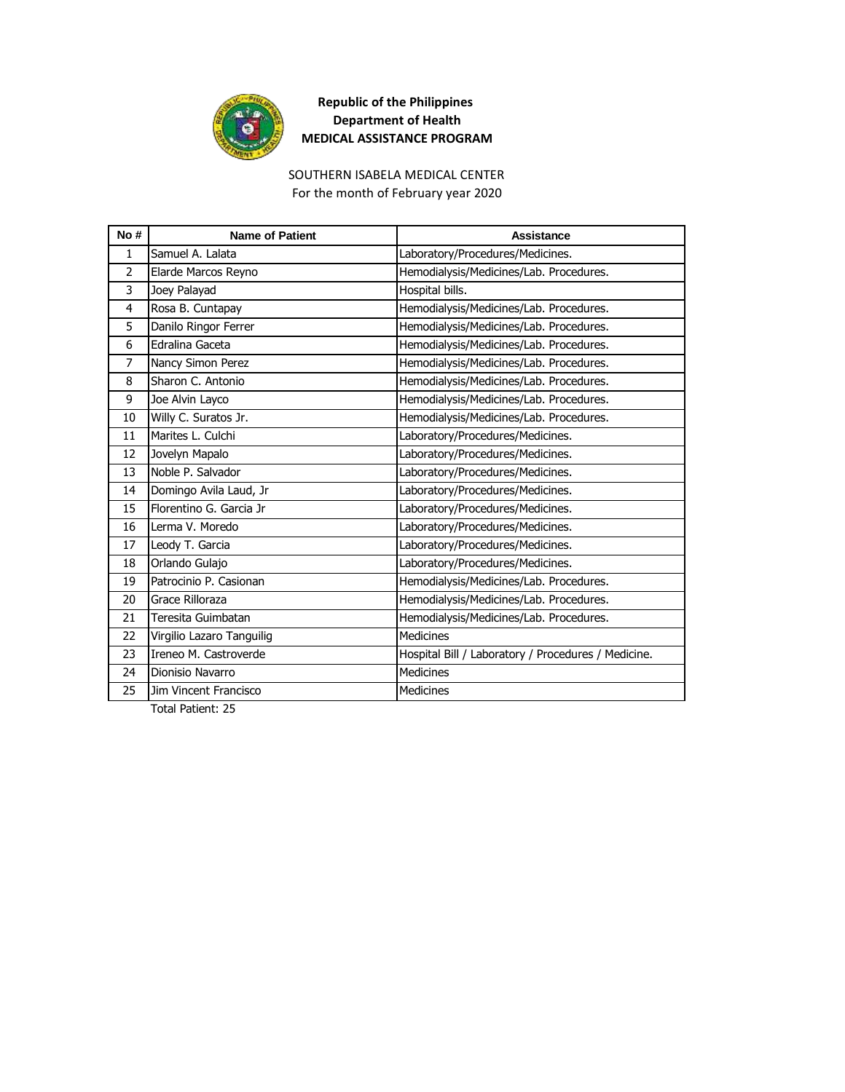

#### SOUTHERN ISABELA MEDICAL CENTER For the month of February year 2020

| No#            | <b>Name of Patient</b>    | Assistance                                          |
|----------------|---------------------------|-----------------------------------------------------|
| 1              | Samuel A. Lalata          | Laboratory/Procedures/Medicines.                    |
| $\overline{2}$ | Elarde Marcos Reyno       | Hemodialysis/Medicines/Lab. Procedures.             |
| 3              | Joey Palayad              | Hospital bills.                                     |
| 4              | Rosa B. Cuntapay          | Hemodialysis/Medicines/Lab. Procedures.             |
| 5              | Danilo Ringor Ferrer      | Hemodialysis/Medicines/Lab. Procedures.             |
| 6              | Edralina Gaceta           | Hemodialysis/Medicines/Lab. Procedures.             |
| 7              | Nancy Simon Perez         | Hemodialysis/Medicines/Lab. Procedures.             |
| 8              | Sharon C. Antonio         | Hemodialysis/Medicines/Lab. Procedures.             |
| 9              | Joe Alvin Layco           | Hemodialysis/Medicines/Lab. Procedures.             |
| 10             | Willy C. Suratos Jr.      | Hemodialysis/Medicines/Lab. Procedures.             |
| 11             | Marites L. Culchi         | Laboratory/Procedures/Medicines.                    |
| 12             | Jovelyn Mapalo            | Laboratory/Procedures/Medicines.                    |
| 13             | Noble P. Salvador         | Laboratory/Procedures/Medicines.                    |
| 14             | Domingo Avila Laud, Jr    | Laboratory/Procedures/Medicines.                    |
| 15             | Florentino G. Garcia Jr   | Laboratory/Procedures/Medicines.                    |
| 16             | Lerma V. Moredo           | Laboratory/Procedures/Medicines.                    |
| 17             | Leody T. Garcia           | Laboratory/Procedures/Medicines.                    |
| 18             | Orlando Gulajo            | Laboratory/Procedures/Medicines.                    |
| 19             | Patrocinio P. Casionan    | Hemodialysis/Medicines/Lab. Procedures.             |
| 20             | Grace Rilloraza           | Hemodialysis/Medicines/Lab. Procedures.             |
| 21             | Teresita Guimbatan        | Hemodialysis/Medicines/Lab. Procedures.             |
| 22             | Virgilio Lazaro Tanguilig | <b>Medicines</b>                                    |
| 23             | Ireneo M. Castroverde     | Hospital Bill / Laboratory / Procedures / Medicine. |
| 24             | Dionisio Navarro          | <b>Medicines</b>                                    |
| 25             | Jim Vincent Francisco     | Medicines                                           |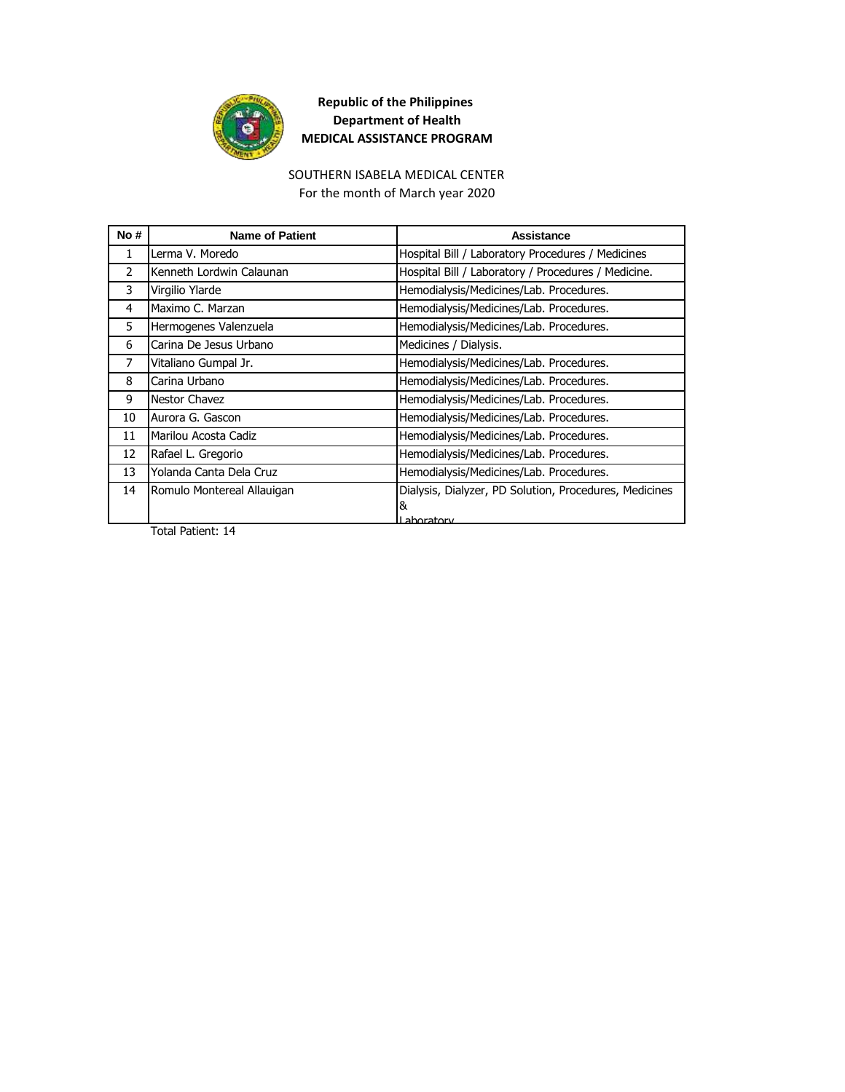

#### SOUTHERN ISABELA MEDICAL CENTER For the month of March year 2020

| No#           | <b>Name of Patient</b>     | Assistance                                             |
|---------------|----------------------------|--------------------------------------------------------|
| 1             | Lerma V. Moredo            | Hospital Bill / Laboratory Procedures / Medicines      |
| $\mathcal{P}$ | Kenneth Lordwin Calaunan   | Hospital Bill / Laboratory / Procedures / Medicine.    |
| 3             | Virgilio Ylarde            | Hemodialysis/Medicines/Lab. Procedures.                |
| 4             | Maximo C. Marzan           | Hemodialysis/Medicines/Lab. Procedures.                |
| 5.            | Hermogenes Valenzuela      | Hemodialysis/Medicines/Lab. Procedures.                |
| 6             | Carina De Jesus Urbano     | Medicines / Dialysis.                                  |
| 7             | Vitaliano Gumpal Jr.       | Hemodialysis/Medicines/Lab. Procedures.                |
| 8             | Carina Urbano              | Hemodialysis/Medicines/Lab. Procedures.                |
| 9             | Nestor Chavez              | Hemodialysis/Medicines/Lab. Procedures.                |
| 10            | Aurora G. Gascon           | Hemodialysis/Medicines/Lab. Procedures.                |
| 11            | Marilou Acosta Cadiz       | Hemodialysis/Medicines/Lab. Procedures.                |
| 12            | Rafael L. Gregorio         | Hemodialysis/Medicines/Lab. Procedures.                |
| 13            | Yolanda Canta Dela Cruz    | Hemodialysis/Medicines/Lab. Procedures.                |
| 14            | Romulo Montereal Allauigan | Dialysis, Dialyzer, PD Solution, Procedures, Medicines |
|               |                            | &                                                      |
|               |                            | l ahoratory                                            |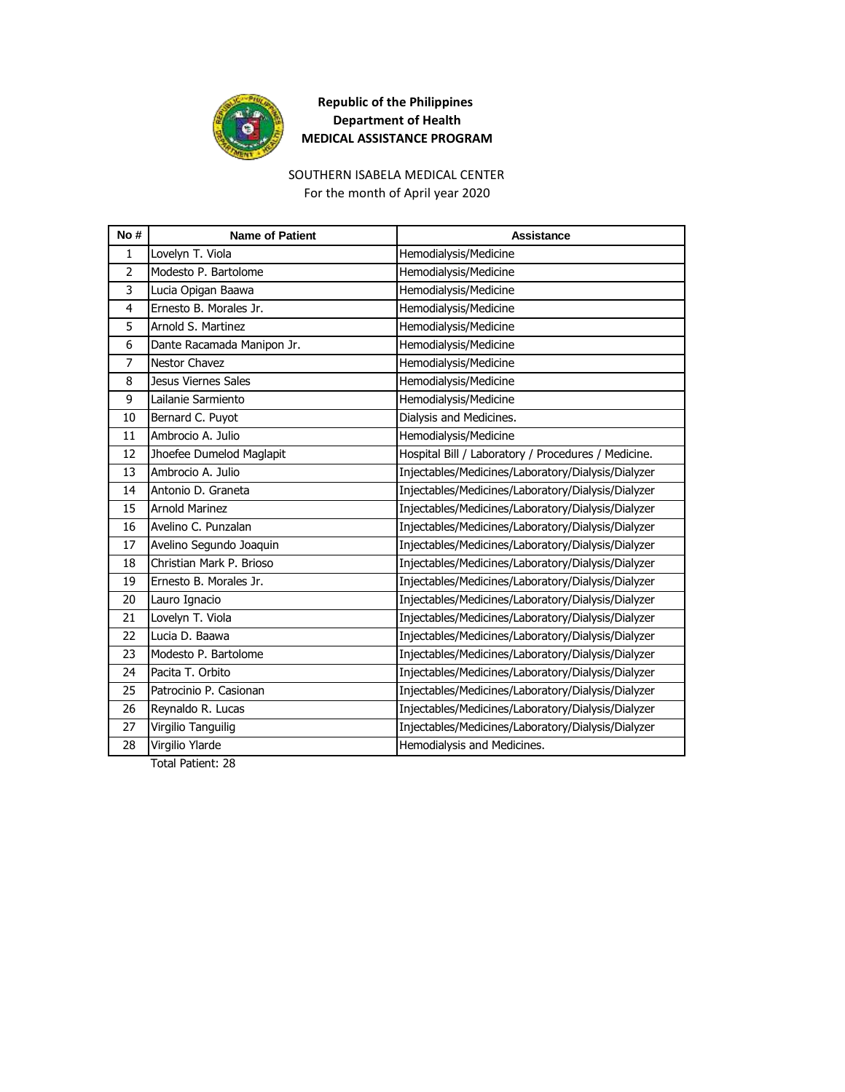

# SOUTHERN ISABELA MEDICAL CENTER

For the month of April year 2020

| Lovelyn T. Viola<br>$\mathbf{1}$<br>Hemodialysis/Medicine<br>Modesto P. Bartolome<br>$\overline{2}$<br>Hemodialysis/Medicine<br>3<br>Lucia Opigan Baawa<br>Hemodialysis/Medicine<br>Ernesto B. Morales Jr.<br>Hemodialysis/Medicine<br>4<br>Hemodialysis/Medicine<br>5<br>Arnold S. Martinez<br>Hemodialysis/Medicine<br>6<br>Dante Racamada Manipon Jr.<br>7<br><b>Nestor Chavez</b><br>Hemodialysis/Medicine<br>Hemodialysis/Medicine<br>Jesus Viernes Sales<br>8<br>9<br>Lailanie Sarmiento<br>Hemodialysis/Medicine<br>Bernard C. Puyot<br>Dialysis and Medicines.<br>10<br>Ambrocio A. Julio<br>Hemodialysis/Medicine<br>11<br>Jhoefee Dumelod Maglapit<br>Hospital Bill / Laboratory / Procedures / Medicine.<br>12<br>Ambrocio A. Julio<br>Injectables/Medicines/Laboratory/Dialysis/Dialyzer<br>13<br>Injectables/Medicines/Laboratory/Dialysis/Dialyzer<br>14<br>Antonio D. Graneta<br>15<br><b>Arnold Marinez</b><br>Injectables/Medicines/Laboratory/Dialysis/Dialyzer<br>Avelino C. Punzalan<br>Injectables/Medicines/Laboratory/Dialysis/Dialyzer<br>16<br>Avelino Segundo Joaquin<br>Injectables/Medicines/Laboratory/Dialysis/Dialyzer<br>17<br>Christian Mark P. Brioso<br>Injectables/Medicines/Laboratory/Dialysis/Dialyzer<br>18<br>Ernesto B. Morales Jr.<br>Injectables/Medicines/Laboratory/Dialysis/Dialyzer<br>19<br>Injectables/Medicines/Laboratory/Dialysis/Dialyzer<br>Lauro Ignacio<br>20<br>Lovelyn T. Viola<br>Injectables/Medicines/Laboratory/Dialysis/Dialyzer<br>21<br>Lucia D. Baawa<br>Injectables/Medicines/Laboratory/Dialysis/Dialyzer<br>22<br>Injectables/Medicines/Laboratory/Dialysis/Dialyzer<br>23<br>Modesto P. Bartolome<br>Pacita T. Orbito<br>Injectables/Medicines/Laboratory/Dialysis/Dialyzer<br>24<br>Injectables/Medicines/Laboratory/Dialysis/Dialyzer<br>25<br>Patrocinio P. Casionan<br>Reynaldo R. Lucas<br>Injectables/Medicines/Laboratory/Dialysis/Dialyzer<br>26<br>Virgilio Tanguilig<br>Injectables/Medicines/Laboratory/Dialysis/Dialyzer<br>27<br>Virgilio Ylarde<br>Hemodialysis and Medicines.<br>28 | No# | <b>Name of Patient</b> | <b>Assistance</b> |
|---------------------------------------------------------------------------------------------------------------------------------------------------------------------------------------------------------------------------------------------------------------------------------------------------------------------------------------------------------------------------------------------------------------------------------------------------------------------------------------------------------------------------------------------------------------------------------------------------------------------------------------------------------------------------------------------------------------------------------------------------------------------------------------------------------------------------------------------------------------------------------------------------------------------------------------------------------------------------------------------------------------------------------------------------------------------------------------------------------------------------------------------------------------------------------------------------------------------------------------------------------------------------------------------------------------------------------------------------------------------------------------------------------------------------------------------------------------------------------------------------------------------------------------------------------------------------------------------------------------------------------------------------------------------------------------------------------------------------------------------------------------------------------------------------------------------------------------------------------------------------------------------------------------------------------------------------------------------------------------------------------------------------------------------------------------------------|-----|------------------------|-------------------|
|                                                                                                                                                                                                                                                                                                                                                                                                                                                                                                                                                                                                                                                                                                                                                                                                                                                                                                                                                                                                                                                                                                                                                                                                                                                                                                                                                                                                                                                                                                                                                                                                                                                                                                                                                                                                                                                                                                                                                                                                                                                                           |     |                        |                   |
|                                                                                                                                                                                                                                                                                                                                                                                                                                                                                                                                                                                                                                                                                                                                                                                                                                                                                                                                                                                                                                                                                                                                                                                                                                                                                                                                                                                                                                                                                                                                                                                                                                                                                                                                                                                                                                                                                                                                                                                                                                                                           |     |                        |                   |
|                                                                                                                                                                                                                                                                                                                                                                                                                                                                                                                                                                                                                                                                                                                                                                                                                                                                                                                                                                                                                                                                                                                                                                                                                                                                                                                                                                                                                                                                                                                                                                                                                                                                                                                                                                                                                                                                                                                                                                                                                                                                           |     |                        |                   |
|                                                                                                                                                                                                                                                                                                                                                                                                                                                                                                                                                                                                                                                                                                                                                                                                                                                                                                                                                                                                                                                                                                                                                                                                                                                                                                                                                                                                                                                                                                                                                                                                                                                                                                                                                                                                                                                                                                                                                                                                                                                                           |     |                        |                   |
|                                                                                                                                                                                                                                                                                                                                                                                                                                                                                                                                                                                                                                                                                                                                                                                                                                                                                                                                                                                                                                                                                                                                                                                                                                                                                                                                                                                                                                                                                                                                                                                                                                                                                                                                                                                                                                                                                                                                                                                                                                                                           |     |                        |                   |
|                                                                                                                                                                                                                                                                                                                                                                                                                                                                                                                                                                                                                                                                                                                                                                                                                                                                                                                                                                                                                                                                                                                                                                                                                                                                                                                                                                                                                                                                                                                                                                                                                                                                                                                                                                                                                                                                                                                                                                                                                                                                           |     |                        |                   |
|                                                                                                                                                                                                                                                                                                                                                                                                                                                                                                                                                                                                                                                                                                                                                                                                                                                                                                                                                                                                                                                                                                                                                                                                                                                                                                                                                                                                                                                                                                                                                                                                                                                                                                                                                                                                                                                                                                                                                                                                                                                                           |     |                        |                   |
|                                                                                                                                                                                                                                                                                                                                                                                                                                                                                                                                                                                                                                                                                                                                                                                                                                                                                                                                                                                                                                                                                                                                                                                                                                                                                                                                                                                                                                                                                                                                                                                                                                                                                                                                                                                                                                                                                                                                                                                                                                                                           |     |                        |                   |
|                                                                                                                                                                                                                                                                                                                                                                                                                                                                                                                                                                                                                                                                                                                                                                                                                                                                                                                                                                                                                                                                                                                                                                                                                                                                                                                                                                                                                                                                                                                                                                                                                                                                                                                                                                                                                                                                                                                                                                                                                                                                           |     |                        |                   |
|                                                                                                                                                                                                                                                                                                                                                                                                                                                                                                                                                                                                                                                                                                                                                                                                                                                                                                                                                                                                                                                                                                                                                                                                                                                                                                                                                                                                                                                                                                                                                                                                                                                                                                                                                                                                                                                                                                                                                                                                                                                                           |     |                        |                   |
|                                                                                                                                                                                                                                                                                                                                                                                                                                                                                                                                                                                                                                                                                                                                                                                                                                                                                                                                                                                                                                                                                                                                                                                                                                                                                                                                                                                                                                                                                                                                                                                                                                                                                                                                                                                                                                                                                                                                                                                                                                                                           |     |                        |                   |
|                                                                                                                                                                                                                                                                                                                                                                                                                                                                                                                                                                                                                                                                                                                                                                                                                                                                                                                                                                                                                                                                                                                                                                                                                                                                                                                                                                                                                                                                                                                                                                                                                                                                                                                                                                                                                                                                                                                                                                                                                                                                           |     |                        |                   |
|                                                                                                                                                                                                                                                                                                                                                                                                                                                                                                                                                                                                                                                                                                                                                                                                                                                                                                                                                                                                                                                                                                                                                                                                                                                                                                                                                                                                                                                                                                                                                                                                                                                                                                                                                                                                                                                                                                                                                                                                                                                                           |     |                        |                   |
|                                                                                                                                                                                                                                                                                                                                                                                                                                                                                                                                                                                                                                                                                                                                                                                                                                                                                                                                                                                                                                                                                                                                                                                                                                                                                                                                                                                                                                                                                                                                                                                                                                                                                                                                                                                                                                                                                                                                                                                                                                                                           |     |                        |                   |
|                                                                                                                                                                                                                                                                                                                                                                                                                                                                                                                                                                                                                                                                                                                                                                                                                                                                                                                                                                                                                                                                                                                                                                                                                                                                                                                                                                                                                                                                                                                                                                                                                                                                                                                                                                                                                                                                                                                                                                                                                                                                           |     |                        |                   |
|                                                                                                                                                                                                                                                                                                                                                                                                                                                                                                                                                                                                                                                                                                                                                                                                                                                                                                                                                                                                                                                                                                                                                                                                                                                                                                                                                                                                                                                                                                                                                                                                                                                                                                                                                                                                                                                                                                                                                                                                                                                                           |     |                        |                   |
|                                                                                                                                                                                                                                                                                                                                                                                                                                                                                                                                                                                                                                                                                                                                                                                                                                                                                                                                                                                                                                                                                                                                                                                                                                                                                                                                                                                                                                                                                                                                                                                                                                                                                                                                                                                                                                                                                                                                                                                                                                                                           |     |                        |                   |
|                                                                                                                                                                                                                                                                                                                                                                                                                                                                                                                                                                                                                                                                                                                                                                                                                                                                                                                                                                                                                                                                                                                                                                                                                                                                                                                                                                                                                                                                                                                                                                                                                                                                                                                                                                                                                                                                                                                                                                                                                                                                           |     |                        |                   |
|                                                                                                                                                                                                                                                                                                                                                                                                                                                                                                                                                                                                                                                                                                                                                                                                                                                                                                                                                                                                                                                                                                                                                                                                                                                                                                                                                                                                                                                                                                                                                                                                                                                                                                                                                                                                                                                                                                                                                                                                                                                                           |     |                        |                   |
|                                                                                                                                                                                                                                                                                                                                                                                                                                                                                                                                                                                                                                                                                                                                                                                                                                                                                                                                                                                                                                                                                                                                                                                                                                                                                                                                                                                                                                                                                                                                                                                                                                                                                                                                                                                                                                                                                                                                                                                                                                                                           |     |                        |                   |
|                                                                                                                                                                                                                                                                                                                                                                                                                                                                                                                                                                                                                                                                                                                                                                                                                                                                                                                                                                                                                                                                                                                                                                                                                                                                                                                                                                                                                                                                                                                                                                                                                                                                                                                                                                                                                                                                                                                                                                                                                                                                           |     |                        |                   |
|                                                                                                                                                                                                                                                                                                                                                                                                                                                                                                                                                                                                                                                                                                                                                                                                                                                                                                                                                                                                                                                                                                                                                                                                                                                                                                                                                                                                                                                                                                                                                                                                                                                                                                                                                                                                                                                                                                                                                                                                                                                                           |     |                        |                   |
|                                                                                                                                                                                                                                                                                                                                                                                                                                                                                                                                                                                                                                                                                                                                                                                                                                                                                                                                                                                                                                                                                                                                                                                                                                                                                                                                                                                                                                                                                                                                                                                                                                                                                                                                                                                                                                                                                                                                                                                                                                                                           |     |                        |                   |
|                                                                                                                                                                                                                                                                                                                                                                                                                                                                                                                                                                                                                                                                                                                                                                                                                                                                                                                                                                                                                                                                                                                                                                                                                                                                                                                                                                                                                                                                                                                                                                                                                                                                                                                                                                                                                                                                                                                                                                                                                                                                           |     |                        |                   |
|                                                                                                                                                                                                                                                                                                                                                                                                                                                                                                                                                                                                                                                                                                                                                                                                                                                                                                                                                                                                                                                                                                                                                                                                                                                                                                                                                                                                                                                                                                                                                                                                                                                                                                                                                                                                                                                                                                                                                                                                                                                                           |     |                        |                   |
|                                                                                                                                                                                                                                                                                                                                                                                                                                                                                                                                                                                                                                                                                                                                                                                                                                                                                                                                                                                                                                                                                                                                                                                                                                                                                                                                                                                                                                                                                                                                                                                                                                                                                                                                                                                                                                                                                                                                                                                                                                                                           |     |                        |                   |
|                                                                                                                                                                                                                                                                                                                                                                                                                                                                                                                                                                                                                                                                                                                                                                                                                                                                                                                                                                                                                                                                                                                                                                                                                                                                                                                                                                                                                                                                                                                                                                                                                                                                                                                                                                                                                                                                                                                                                                                                                                                                           |     |                        |                   |
|                                                                                                                                                                                                                                                                                                                                                                                                                                                                                                                                                                                                                                                                                                                                                                                                                                                                                                                                                                                                                                                                                                                                                                                                                                                                                                                                                                                                                                                                                                                                                                                                                                                                                                                                                                                                                                                                                                                                                                                                                                                                           |     |                        |                   |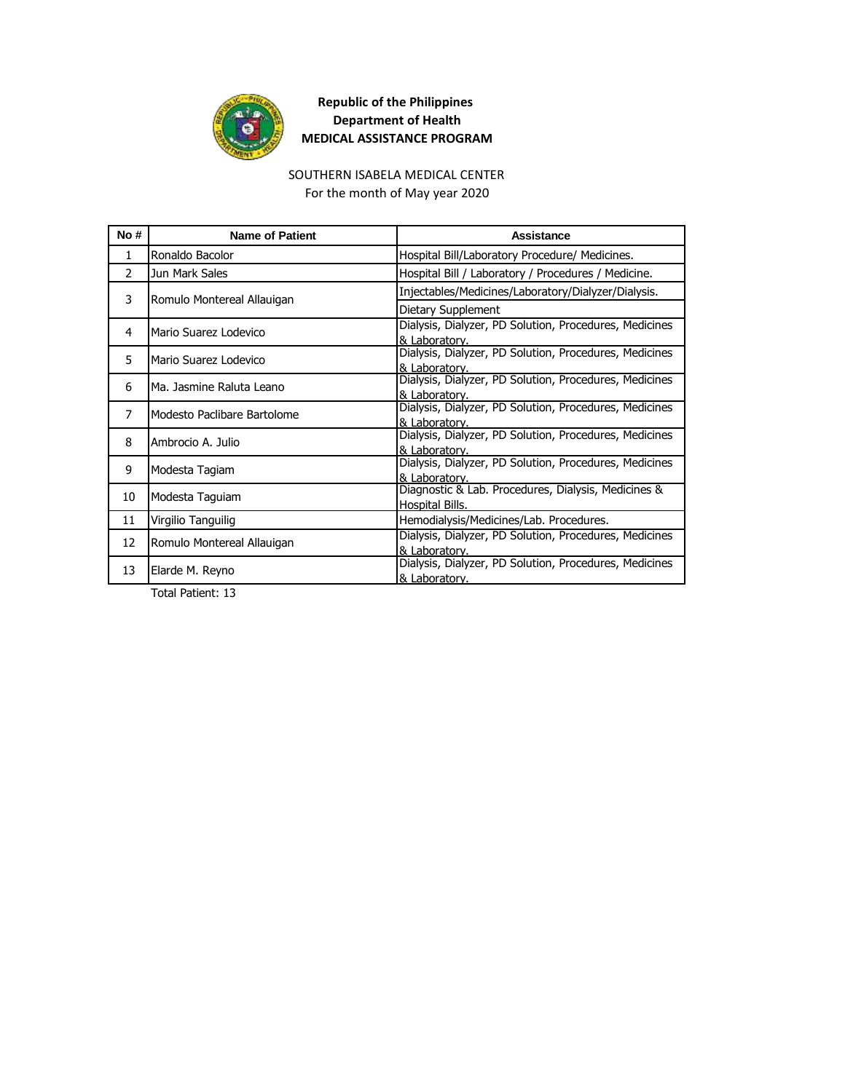

#### SOUTHERN ISABELA MEDICAL CENTER

For the month of May year 2020

| No #         | <b>Name of Patient</b>      | Assistance                                                              |
|--------------|-----------------------------|-------------------------------------------------------------------------|
| $\mathbf{1}$ | Ronaldo Bacolor             | Hospital Bill/Laboratory Procedure/ Medicines.                          |
| 2            | Jun Mark Sales              | Hospital Bill / Laboratory / Procedures / Medicine.                     |
| 3            |                             | Injectables/Medicines/Laboratory/Dialyzer/Dialysis.                     |
|              | Romulo Montereal Allauigan  | Dietary Supplement                                                      |
| 4            | Mario Suarez Lodevico       | Dialysis, Dialyzer, PD Solution, Procedures, Medicines<br>& Laboratory. |
|              |                             | Dialysis, Dialyzer, PD Solution, Procedures, Medicines                  |
| 5.           | Mario Suarez Lodevico       | & Laboratory.                                                           |
| 6            | Ma. Jasmine Raluta Leano    | Dialysis, Dialyzer, PD Solution, Procedures, Medicines                  |
|              |                             | & Laboratory.<br>Dialysis, Dialyzer, PD Solution, Procedures, Medicines |
| 7            | Modesto Paclibare Bartolome | & Laboratory.                                                           |
| 8            | Ambrocio A. Julio           | Dialysis, Dialyzer, PD Solution, Procedures, Medicines                  |
|              |                             | & Laboratory.                                                           |
| 9            | Modesta Tagiam              | Dialysis, Dialyzer, PD Solution, Procedures, Medicines                  |
|              |                             | & Laboratory.                                                           |
| 10           | Modesta Taguiam             | Diagnostic & Lab. Procedures, Dialysis, Medicines &                     |
|              |                             | Hospital Bills.                                                         |
| 11           | Virgilio Tanguilig          | Hemodialysis/Medicines/Lab. Procedures.                                 |
| 12           | Romulo Montereal Allauigan  | Dialysis, Dialyzer, PD Solution, Procedures, Medicines                  |
|              |                             | & Laboratory.                                                           |
| 13           | Elarde M. Reyno             | Dialysis, Dialyzer, PD Solution, Procedures, Medicines                  |
|              |                             | & Laboratory.                                                           |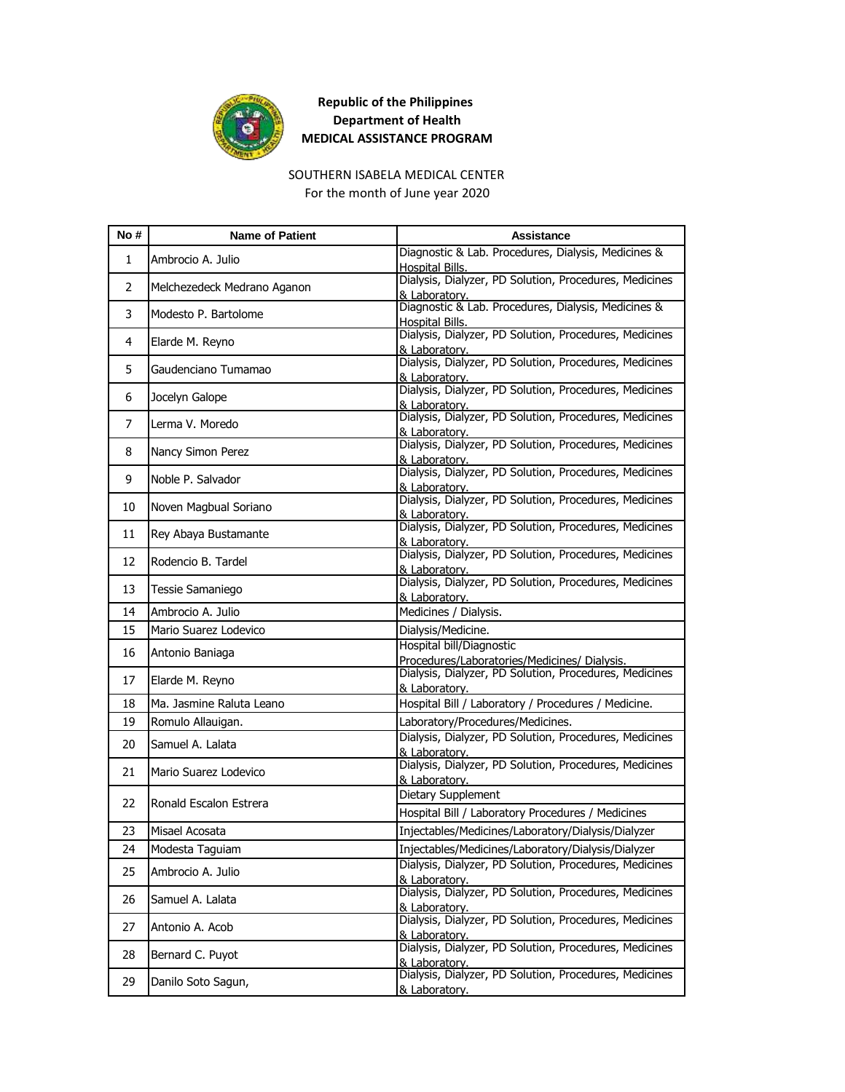

### SOUTHERN ISABELA MEDICAL CENTER

For the month of June year 2020

| No#            | <b>Name of Patient</b>      | Assistance                                                               |
|----------------|-----------------------------|--------------------------------------------------------------------------|
| $\mathbf{1}$   | Ambrocio A. Julio           | Diagnostic & Lab. Procedures, Dialysis, Medicines &<br>Hospital Bills.   |
| $\overline{2}$ | Melchezedeck Medrano Aganon | Dialysis, Dialyzer, PD Solution, Procedures, Medicines<br>& Laboratory.  |
| 3              | Modesto P. Bartolome        | Diagnostic & Lab. Procedures, Dialysis, Medicines &<br>Hospital Bills.   |
| 4              | Elarde M. Reyno             | Dialysis, Dialyzer, PD Solution, Procedures, Medicines<br>& Laboratory.  |
| 5.             | Gaudenciano Tumamao         | Dialysis, Dialyzer, PD Solution, Procedures, Medicines<br>& Laboratory.  |
| 6              | Jocelyn Galope              | Dialysis, Dialyzer, PD Solution, Procedures, Medicines<br>& Laboratory.  |
| 7              | Lerma V. Moredo             | Dialysis, Dialyzer, PD Solution, Procedures, Medicines<br>& Laboratory.  |
| 8              | Nancy Simon Perez           | Dialysis, Dialyzer, PD Solution, Procedures, Medicines<br>& Laboratory.  |
| 9              | Noble P. Salvador           | Dialysis, Dialyzer, PD Solution, Procedures, Medicines<br>& Laboratory.  |
| 10             | Noven Magbual Soriano       | Dialysis, Dialyzer, PD Solution, Procedures, Medicines<br>& Laboratory.  |
| 11             | Rey Abaya Bustamante        | Dialysis, Dialyzer, PD Solution, Procedures, Medicines<br>& Laboratory.  |
| 12             | Rodencio B. Tardel          | Dialysis, Dialyzer, PD Solution, Procedures, Medicines<br>& Laboratory.  |
| 13             | Tessie Samaniego            | Dialysis, Dialyzer, PD Solution, Procedures, Medicines<br>& Laboratory.  |
| 14             | Ambrocio A. Julio           | Medicines / Dialysis.                                                    |
| 15             | Mario Suarez Lodevico       | Dialysis/Medicine.                                                       |
| 16             | Antonio Baniaga             | Hospital bill/Diagnostic<br>Procedures/Laboratories/Medicines/ Dialysis. |
| 17             | Elarde M. Reyno             | Dialysis, Dialyzer, PD Solution, Procedures, Medicines<br>& Laboratory.  |
| 18             | Ma. Jasmine Raluta Leano    | Hospital Bill / Laboratory / Procedures / Medicine.                      |
| 19             | Romulo Allauigan.           | Laboratory/Procedures/Medicines.                                         |
| 20             | Samuel A. Lalata            | Dialysis, Dialyzer, PD Solution, Procedures, Medicines<br>& Laboratory.  |
| 21             | Mario Suarez Lodevico       | Dialysis, Dialyzer, PD Solution, Procedures, Medicines<br>& Laboratory.  |
|                |                             | Dietary Supplement                                                       |
| 22             | Ronald Escalon Estrera      | Hospital Bill / Laboratory Procedures / Medicines                        |
| 23             | Misael Acosata              | Injectables/Medicines/Laboratory/Dialysis/Dialyzer                       |
| 24             | Modesta Taguiam             | Injectables/Medicines/Laboratory/Dialysis/Dialyzer                       |
| 25             | Ambrocio A. Julio           | Dialysis, Dialyzer, PD Solution, Procedures, Medicines<br>& Laboratory.  |
| 26             | Samuel A. Lalata            | Dialysis, Dialyzer, PD Solution, Procedures, Medicines<br>& Laboratory.  |
| 27             | Antonio A. Acob             | Dialysis, Dialyzer, PD Solution, Procedures, Medicines<br>& Laboratory.  |
| 28             | Bernard C. Puyot            | Dialysis, Dialyzer, PD Solution, Procedures, Medicines<br>& Laboratory.  |
| 29             | Danilo Soto Sagun,          | Dialysis, Dialyzer, PD Solution, Procedures, Medicines<br>& Laboratory.  |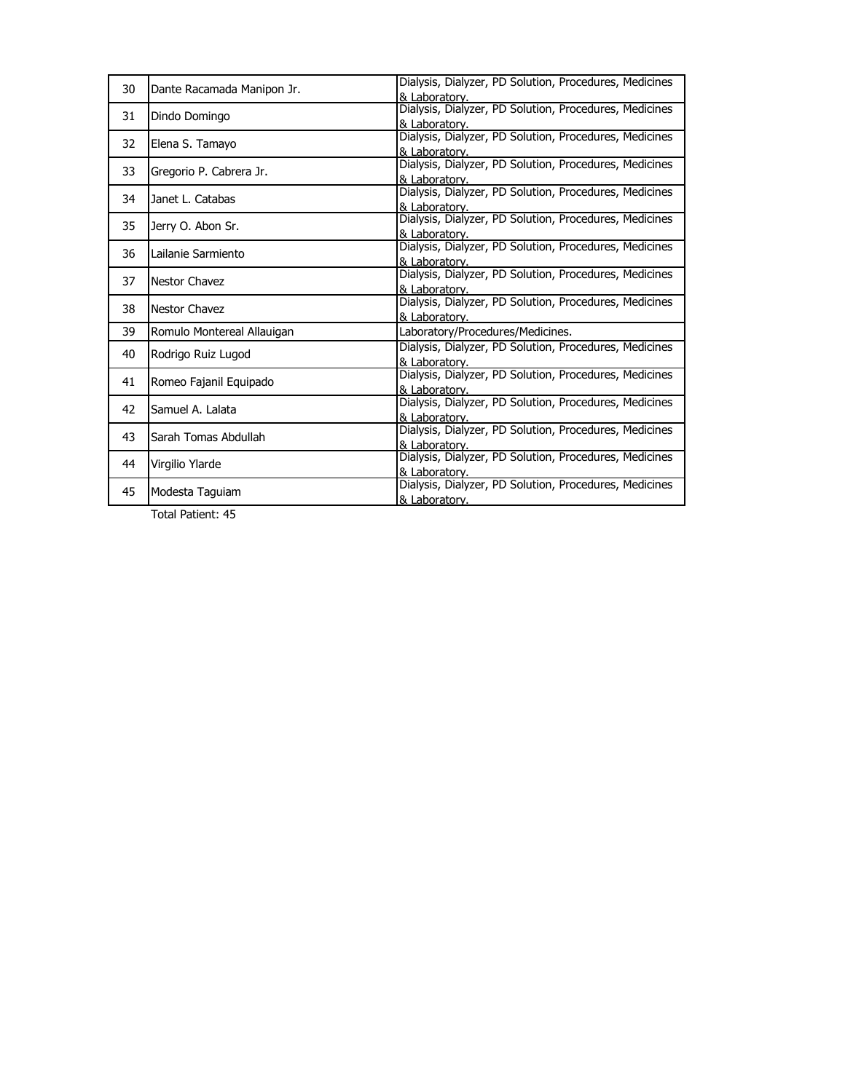| 30 | Dante Racamada Manipon Jr. | Dialysis, Dialyzer, PD Solution, Procedures, Medicines<br>& Laboratory. |
|----|----------------------------|-------------------------------------------------------------------------|
| 31 | Dindo Domingo              | Dialysis, Dialyzer, PD Solution, Procedures, Medicines<br>& Laboratory. |
| 32 | Elena S. Tamayo            | Dialysis, Dialyzer, PD Solution, Procedures, Medicines<br>& Laboratory. |
| 33 | Gregorio P. Cabrera Jr.    | Dialysis, Dialyzer, PD Solution, Procedures, Medicines<br>& Laboratory. |
| 34 | Janet L. Catabas           | Dialysis, Dialyzer, PD Solution, Procedures, Medicines<br>& Laboratory. |
| 35 | Jerry O. Abon Sr.          | Dialysis, Dialyzer, PD Solution, Procedures, Medicines<br>& Laboratory. |
| 36 | Lailanie Sarmiento         | Dialysis, Dialyzer, PD Solution, Procedures, Medicines<br>& Laboratory. |
| 37 | Nestor Chavez              | Dialysis, Dialyzer, PD Solution, Procedures, Medicines<br>& Laboratory. |
| 38 | <b>Nestor Chavez</b>       | Dialysis, Dialyzer, PD Solution, Procedures, Medicines<br>& Laboratory. |
| 39 | Romulo Montereal Allauigan | Laboratory/Procedures/Medicines.                                        |
| 40 | Rodrigo Ruiz Lugod         | Dialysis, Dialyzer, PD Solution, Procedures, Medicines<br>& Laboratory. |
| 41 | Romeo Fajanil Equipado     | Dialysis, Dialyzer, PD Solution, Procedures, Medicines<br>& Laboratory. |
| 42 | Samuel A. Lalata           | Dialysis, Dialyzer, PD Solution, Procedures, Medicines<br>& Laboratory. |
| 43 | Sarah Tomas Abdullah       | Dialysis, Dialyzer, PD Solution, Procedures, Medicines<br>& Laboratory. |
| 44 | Virgilio Ylarde            | Dialysis, Dialyzer, PD Solution, Procedures, Medicines<br>& Laboratory. |
| 45 | Modesta Taguiam            | Dialysis, Dialyzer, PD Solution, Procedures, Medicines<br>& Laboratory. |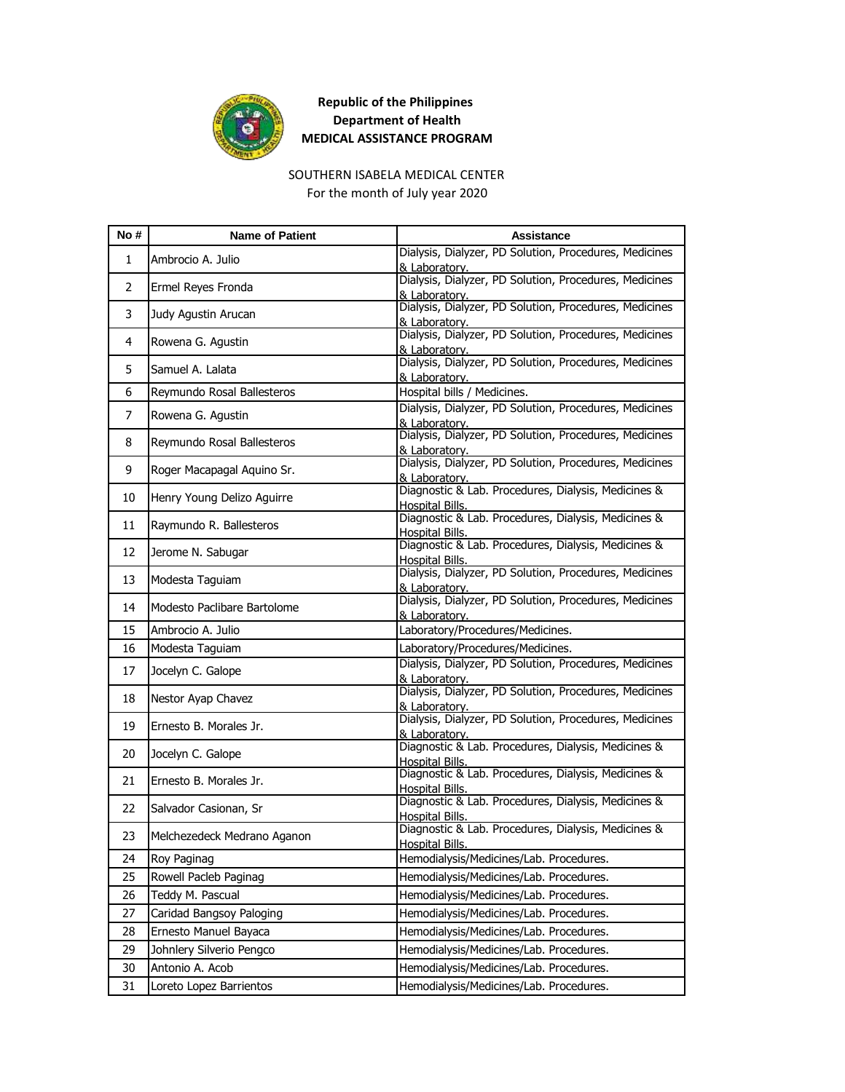

#### SOUTHERN ISABELA MEDICAL CENTER

For the month of July year 2020

| No #         | <b>Name of Patient</b>      | Assistance                                                                    |
|--------------|-----------------------------|-------------------------------------------------------------------------------|
| $\mathbf{1}$ | Ambrocio A. Julio           | Dialysis, Dialyzer, PD Solution, Procedures, Medicines<br>& Laboratory.       |
| 2            | Ermel Reyes Fronda          | Dialysis, Dialyzer, PD Solution, Procedures, Medicines<br>& Laboratory.       |
| 3            | Judy Agustin Arucan         | Dialysis, Dialyzer, PD Solution, Procedures, Medicines<br>& Laboratory.       |
| 4            | Rowena G. Agustin           | Dialysis, Dialyzer, PD Solution, Procedures, Medicines<br>& Laboratory.       |
| 5.           | Samuel A. Lalata            | Dialysis, Dialyzer, PD Solution, Procedures, Medicines<br>& Laboratory.       |
| 6            | Reymundo Rosal Ballesteros  | Hospital bills / Medicines.                                                   |
| 7            | Rowena G. Agustin           | Dialysis, Dialyzer, PD Solution, Procedures, Medicines<br>& Laboratory.       |
| 8            | Reymundo Rosal Ballesteros  | Dialysis, Dialyzer, PD Solution, Procedures, Medicines<br>& Laboratory.       |
| 9            | Roger Macapagal Aquino Sr.  | Dialysis, Dialyzer, PD Solution, Procedures, Medicines<br>& Laboratory.       |
| 10           | Henry Young Delizo Aguirre  | Diagnostic & Lab. Procedures, Dialysis, Medicines &<br>Hospital Bills.        |
| 11           | Raymundo R. Ballesteros     | Diagnostic & Lab. Procedures, Dialysis, Medicines &<br>Hospital Bills.        |
| 12           | Jerome N. Sabugar           | Diagnostic & Lab. Procedures, Dialysis, Medicines &<br>Hospital Bills.        |
| 13           | Modesta Taguiam             | Dialysis, Dialyzer, PD Solution, Procedures, Medicines<br>& Laboratorv.       |
| 14           | Modesto Paclibare Bartolome | Dialysis, Dialyzer, PD Solution, Procedures, Medicines<br>& Laboratory.       |
| 15           | Ambrocio A. Julio           | Laboratory/Procedures/Medicines.                                              |
| 16           | Modesta Taguiam             | Laboratory/Procedures/Medicines.                                              |
| 17           | Jocelyn C. Galope           | Dialysis, Dialyzer, PD Solution, Procedures, Medicines<br>& Laboratory.       |
| 18           | Nestor Ayap Chavez          | Dialysis, Dialyzer, PD Solution, Procedures, Medicines<br>& Laboratory.       |
| 19           | Ernesto B. Morales Jr.      | Dialysis, Dialyzer, PD Solution, Procedures, Medicines<br>& Laboratorv.       |
| 20           | Jocelyn C. Galope           | Diagnostic & Lab. Procedures, Dialysis, Medicines &<br>Hospital Bills.        |
| 21           | Ernesto B. Morales Jr.      | Diagnostic & Lab. Procedures, Dialysis, Medicines &<br>Hospital Bills.        |
| 22           | Salvador Casionan, Sr       | Diagnostic & Lab. Procedures, Dialysis, Medicines &<br>Hospital Bills.        |
| 23           | Melchezedeck Medrano Aganon | Diagnostic & Lab. Procedures, Dialysis, Medicines &<br><b>Hospital Bills.</b> |
| 24           | Roy Paginag                 | Hemodialysis/Medicines/Lab. Procedures.                                       |
| 25           | Rowell Pacleb Paginag       | Hemodialysis/Medicines/Lab. Procedures.                                       |
| 26           | Teddy M. Pascual            | Hemodialysis/Medicines/Lab. Procedures.                                       |
| 27           | Caridad Bangsoy Paloging    | Hemodialysis/Medicines/Lab. Procedures.                                       |
| 28           | Ernesto Manuel Bayaca       | Hemodialysis/Medicines/Lab. Procedures.                                       |
| 29           | Johnlery Silverio Pengco    | Hemodialysis/Medicines/Lab. Procedures.                                       |
| 30           | Antonio A. Acob             | Hemodialysis/Medicines/Lab. Procedures.                                       |
| 31           | Loreto Lopez Barrientos     | Hemodialysis/Medicines/Lab. Procedures.                                       |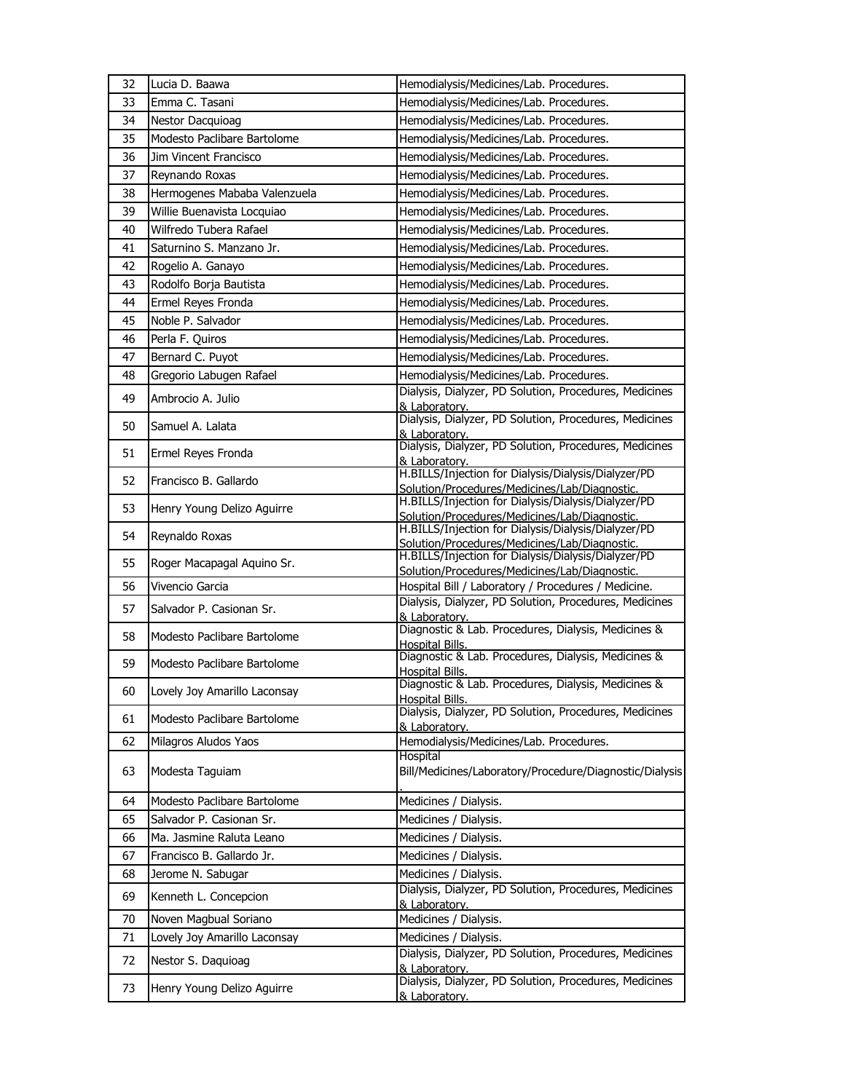| 32 | Lucia D. Baawa               | Hemodialysis/Medicines/Lab. Procedures.                                                              |
|----|------------------------------|------------------------------------------------------------------------------------------------------|
| 33 | Emma C. Tasani               | Hemodialysis/Medicines/Lab. Procedures.                                                              |
| 34 | Nestor Dacquioag             | Hemodialysis/Medicines/Lab. Procedures.                                                              |
| 35 | Modesto Paclibare Bartolome  | Hemodialysis/Medicines/Lab. Procedures.                                                              |
| 36 | Jim Vincent Francisco        | Hemodialysis/Medicines/Lab. Procedures.                                                              |
| 37 | Reynando Roxas               | Hemodialysis/Medicines/Lab. Procedures.                                                              |
| 38 | Hermogenes Mababa Valenzuela | Hemodialysis/Medicines/Lab. Procedures.                                                              |
| 39 | Willie Buenavista Locquiao   | Hemodialysis/Medicines/Lab. Procedures.                                                              |
| 40 | Wilfredo Tubera Rafael       | Hemodialysis/Medicines/Lab. Procedures.                                                              |
| 41 | Saturnino S. Manzano Jr.     | Hemodialysis/Medicines/Lab. Procedures.                                                              |
| 42 | Rogelio A. Ganayo            | Hemodialysis/Medicines/Lab. Procedures.                                                              |
| 43 | Rodolfo Borja Bautista       | Hemodialysis/Medicines/Lab. Procedures.                                                              |
| 44 | Ermel Reyes Fronda           | Hemodialysis/Medicines/Lab. Procedures.                                                              |
| 45 | Noble P. Salvador            | Hemodialysis/Medicines/Lab. Procedures.                                                              |
| 46 | Perla F. Quiros              | Hemodialysis/Medicines/Lab. Procedures.                                                              |
| 47 | Bernard C. Puyot             | Hemodialysis/Medicines/Lab. Procedures.                                                              |
| 48 | Gregorio Labugen Rafael      | Hemodialysis/Medicines/Lab. Procedures.                                                              |
| 49 | Ambrocio A. Julio            | Dialysis, Dialyzer, PD Solution, Procedures, Medicines                                               |
|    |                              | & Laboratory.<br>Dialysis, Dialyzer, PD Solution, Procedures, Medicines                              |
| 50 | Samuel A. Lalata             | & Laboratory.                                                                                        |
| 51 | Ermel Reyes Fronda           | Dialysis, Dialyzer, PD Solution, Procedures, Medicines                                               |
|    |                              | & Laboratory.<br>H.BILLS/Injection for Dialysis/Dialysis/Dialyzer/PD                                 |
| 52 | Francisco B. Gallardo        | Solution/Procedures/Medicines/Lab/Diagnostic.                                                        |
| 53 | Henry Young Delizo Aguirre   | H.BILLS/Injection for Dialysis/Dialysis/Dialyzer/PD                                                  |
|    |                              | Solution/Procedures/Medicines/Lab/Diagnostic.<br>H.BILLS/Injection for Dialysis/Dialysis/Dialyzer/PD |
| 54 | Reynaldo Roxas               | Solution/Procedures/Medicines/Lab/Diagnostic.                                                        |
| 55 | Roger Macapagal Aquino Sr.   | H.BILLS/Injection for Dialysis/Dialysis/Dialyzer/PD                                                  |
| 56 | Vivencio Garcia              | Solution/Procedures/Medicines/Lab/Diagnostic.<br>Hospital Bill / Laboratory / Procedures / Medicine. |
|    |                              | Dialysis, Dialyzer, PD Solution, Procedures, Medicines                                               |
| 57 | Salvador P. Casionan Sr.     | & Laboratory.                                                                                        |
| 58 | Modesto Paclibare Bartolome  | Diagnostic & Lab. Procedures, Dialysis, Medicines &                                                  |
|    |                              | Hospital Bills.<br>Diagnostic & Lab. Procedures, Dialysis, Medicines &                               |
| 59 | Modesto Paclibare Bartolome  | Hospital Bills.                                                                                      |
| 60 | Lovely Joy Amarillo Laconsay | Diagnostic & Lab. Procedures, Dialysis, Medicines &                                                  |
|    |                              | <b>Hospital Bills.</b><br>Dialysis, Dialyzer, PD Solution, Procedures, Medicines                     |
| 61 | Modesto Paclibare Bartolome  | & Laboratory.                                                                                        |
| 62 | Milagros Aludos Yaos         | Hemodialysis/Medicines/Lab. Procedures.                                                              |
|    |                              | Hospital                                                                                             |
| 63 | Modesta Taquiam              | Bill/Medicines/Laboratory/Procedure/Diagnostic/Dialysis                                              |
| 64 | Modesto Paclibare Bartolome  | Medicines / Dialysis.                                                                                |
| 65 | Salvador P. Casionan Sr.     | Medicines / Dialysis.                                                                                |
| 66 | Ma. Jasmine Raluta Leano     | Medicines / Dialysis.                                                                                |
| 67 | Francisco B. Gallardo Jr.    | Medicines / Dialysis.                                                                                |
| 68 | Jerome N. Sabugar            | Medicines / Dialysis.                                                                                |
| 69 | Kenneth L. Concepcion        | Dialysis, Dialyzer, PD Solution, Procedures, Medicines                                               |
|    |                              | & Laboratory.                                                                                        |
| 70 | Noven Magbual Soriano        | Medicines / Dialysis.                                                                                |
| 71 | Lovely Joy Amarillo Laconsay | Medicines / Dialysis.                                                                                |
| 72 | Nestor S. Daquioag           | Dialysis, Dialyzer, PD Solution, Procedures, Medicines<br>& Laboratory.                              |
| 73 | Henry Young Delizo Aguirre   | Dialysis, Dialyzer, PD Solution, Procedures, Medicines                                               |
|    |                              | & Laboratory.                                                                                        |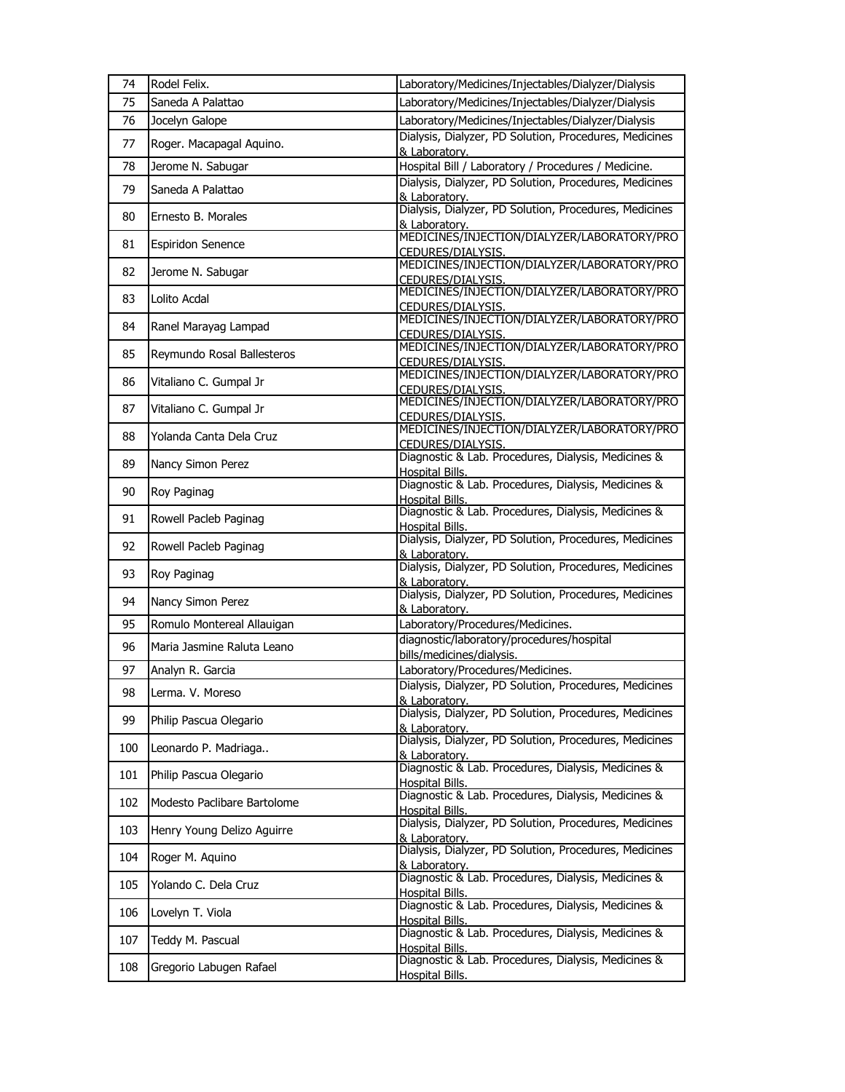| 74  | Rodel Felix.                | Laboratory/Medicines/Injectables/Dialyzer/Dialysis                            |
|-----|-----------------------------|-------------------------------------------------------------------------------|
| 75  | Saneda A Palattao           | Laboratory/Medicines/Injectables/Dialyzer/Dialysis                            |
| 76  | Jocelyn Galope              | Laboratory/Medicines/Injectables/Dialyzer/Dialysis                            |
| 77  | Roger. Macapagal Aquino.    | Dialysis, Dialyzer, PD Solution, Procedures, Medicines<br>& Laboratory.       |
| 78  | Jerome N. Sabugar           | Hospital Bill / Laboratory / Procedures / Medicine.                           |
| 79  | Saneda A Palattao           | Dialysis, Dialyzer, PD Solution, Procedures, Medicines<br>& Laboratory.       |
| 80  | Ernesto B. Morales          | Dialysis, Dialyzer, PD Solution, Procedures, Medicines<br>& Laboratory.       |
| 81  | <b>Espiridon Senence</b>    | MEDICINES/INJECTION/DIALYZER/LABORATORY/PRO<br>CEDURES/DIALYSIS.              |
| 82  | Jerome N. Sabugar           | MEDICINES/INJECTION/DIALYZER/LABORATORY/PRO<br>CEDURES/DIALYSIS.              |
| 83  | Lolito Acdal                | MEDICINES/INJECTION/DIALYZER/LABORATORY/PRO<br>CEDURES/DIALYSIS.              |
| 84  | Ranel Marayag Lampad        | MEDICINES/INJECTION/DIALYZER/LABORATORY/PRO<br>CEDURES/DIALYSIS.              |
| 85  | Reymundo Rosal Ballesteros  | MEDICINES/INJECTION/DIALYZER/LABORATORY/PRO<br>CEDURES/DIALYSIS.              |
| 86  | Vitaliano C. Gumpal Jr      | MEDICINES/INJECTION/DIALYZER/LABORATORY/PRO<br>CEDURES/DIALYSIS.              |
| 87  | Vitaliano C. Gumpal Jr      | MEDICINES/INJECTION/DIALYZER/LABORATORY/PRO<br>CEDURES/DIALYSIS.              |
| 88  | Yolanda Canta Dela Cruz     | MEDICINES/INJECTION/DIALYZER/LABORATORY/PRO<br>CEDURES/DIALYSIS.              |
| 89  | Nancy Simon Perez           | Diagnostic & Lab. Procedures, Dialysis, Medicines &<br>Hospital Bills.        |
| 90  | Roy Paginag                 | Diagnostic & Lab. Procedures, Dialysis, Medicines &<br>Hospital Bills.        |
| 91  | Rowell Pacleb Paginag       | Diagnostic & Lab. Procedures, Dialysis, Medicines &<br>Hospital Bills.        |
| 92  | Rowell Pacleb Paginag       | Dialysis, Dialyzer, PD Solution, Procedures, Medicines<br>& Laboratory.       |
| 93  | Roy Paginag                 | Dialysis, Dialyzer, PD Solution, Procedures, Medicines<br>& Laboratory.       |
| 94  | Nancy Simon Perez           | Dialysis, Dialyzer, PD Solution, Procedures, Medicines<br>& Laboratory.       |
| 95  | Romulo Montereal Allauigan  | Laboratory/Procedures/Medicines.                                              |
| 96  | Maria Jasmine Raluta Leano  | diagnostic/laboratory/procedures/hospital<br>bills/medicines/dialysis.        |
| 97  | Analyn R. Garcia            | Laboratory/Procedures/Medicines.                                              |
| 98  | Lerma. V. Moreso            | Dialysis, Dialyzer, PD Solution, Procedures, Medicines<br>& Laboratory.       |
| 99  | Philip Pascua Olegario      | Dialysis, Dialyzer, PD Solution, Procedures, Medicines<br>& Laboratorv.       |
| 100 | Leonardo P. Madriaga        | Dialysis, Dialyzer, PD Solution, Procedures, Medicines<br>& Laboratory.       |
| 101 | Philip Pascua Olegario      | Diagnostic & Lab. Procedures, Dialysis, Medicines &<br>Hospital Bills.        |
| 102 | Modesto Paclibare Bartolome | Diagnostic & Lab. Procedures, Dialysis, Medicines &<br>Hospital Bills.        |
| 103 | Henry Young Delizo Aguirre  | Dialysis, Dialyzer, PD Solution, Procedures, Medicines<br>& Laboratory.       |
| 104 | Roger M. Aquino             | Dialysis, Dialyzer, PD Solution, Procedures, Medicines<br>& Laboratory.       |
| 105 | Yolando C. Dela Cruz        | Diagnostic & Lab. Procedures, Dialysis, Medicines &<br>Hospital Bills.        |
| 106 | Lovelyn T. Viola            | Diagnostic & Lab. Procedures, Dialysis, Medicines &<br>Hospital Bills.        |
| 107 | Teddy M. Pascual            | Diagnostic & Lab. Procedures, Dialysis, Medicines &<br>Hospital Bills.        |
| 108 | Gregorio Labugen Rafael     | Diagnostic & Lab. Procedures, Dialysis, Medicines &<br><b>Hospital Bills.</b> |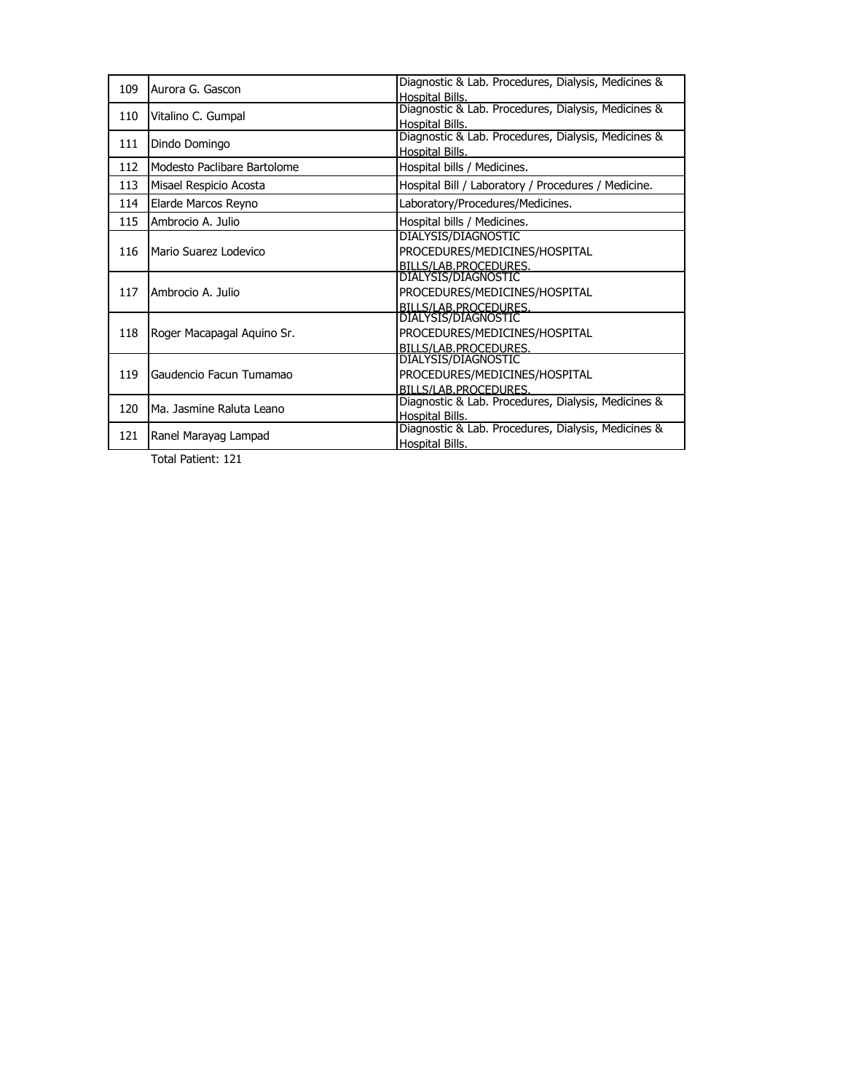| 109 | Aurora G. Gascon            | Diagnostic & Lab. Procedures, Dialysis, Medicines & |
|-----|-----------------------------|-----------------------------------------------------|
|     |                             | Hospital Bills.                                     |
| 110 | Vitalino C. Gumpal          | Diagnostic & Lab. Procedures, Dialysis, Medicines & |
|     |                             | Hospital Bills.                                     |
| 111 |                             | Diagnostic & Lab. Procedures, Dialysis, Medicines & |
|     | Dindo Domingo               | Hospital Bills.                                     |
| 112 | Modesto Paclibare Bartolome | Hospital bills / Medicines.                         |
| 113 | Misael Respicio Acosta      | Hospital Bill / Laboratory / Procedures / Medicine. |
| 114 | Elarde Marcos Reyno         | Laboratory/Procedures/Medicines.                    |
| 115 | Ambrocio A. Julio           | Hospital bills / Medicines.                         |
|     | Mario Suarez Lodevico       | <b>DIALYSIS/DIAGNOSTIC</b>                          |
| 116 |                             | PROCEDURES/MEDICINES/HOSPITAL                       |
|     |                             | BILLS/LAB.PROCEDURES.                               |
|     | Ambrocio A. Julio           | DIALYSIS/DIAGNOSTIC                                 |
| 117 |                             | PROCEDURES/MEDICINES/HOSPITAL                       |
|     |                             | BILLS/LAB.PROCEDURES.                               |
|     | Roger Macapagal Aguino Sr.  | DIALYSIS/DIAGNOSTIC                                 |
| 118 |                             | PROCEDURES/MEDICINES/HOSPITAL                       |
|     |                             | BILLS/LAB.PROCEDURES.                               |
|     | Gaudencio Facun Tumamao     | DIALYSIS/DIAGNOSTIC                                 |
| 119 |                             | PROCEDURES/MEDICINES/HOSPITAL                       |
|     |                             | BILLS/LAB.PROCEDURES.                               |
| 120 |                             | Diagnostic & Lab. Procedures, Dialysis, Medicines & |
|     | Ma. Jasmine Raluta Leano    | Hospital Bills.                                     |
| 121 | Ranel Marayag Lampad        | Diagnostic & Lab. Procedures, Dialysis, Medicines & |
|     |                             | Hospital Bills.                                     |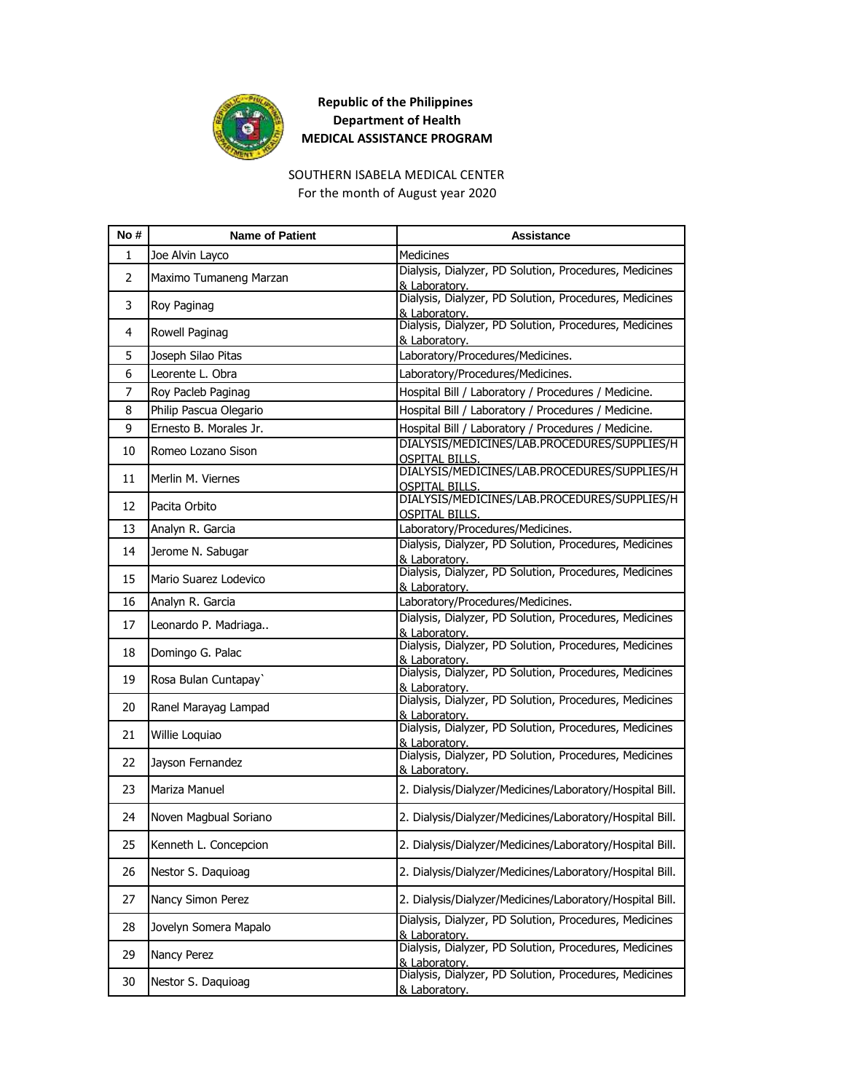

#### SOUTHERN ISABELA MEDICAL CENTER For the month of August year 2020

| No # | <b>Name of Patient</b> | Assistance                                                              |
|------|------------------------|-------------------------------------------------------------------------|
| 1    | Joe Alvin Layco        | Medicines                                                               |
| 2    | Maximo Tumaneng Marzan | Dialysis, Dialyzer, PD Solution, Procedures, Medicines<br>& Laboratory. |
| 3    | Roy Paginag            | Dialysis, Dialyzer, PD Solution, Procedures, Medicines<br>& Laboratory. |
| 4    | Rowell Paginag         | Dialysis, Dialyzer, PD Solution, Procedures, Medicines<br>& Laboratory. |
| 5    | Joseph Silao Pitas     | Laboratory/Procedures/Medicines.                                        |
| 6    | Leorente L. Obra       | Laboratory/Procedures/Medicines.                                        |
| 7    | Roy Pacleb Paginag     | Hospital Bill / Laboratory / Procedures / Medicine.                     |
| 8    | Philip Pascua Olegario | Hospital Bill / Laboratory / Procedures / Medicine.                     |
| 9    | Ernesto B. Morales Jr. | Hospital Bill / Laboratory / Procedures / Medicine.                     |
| 10   | Romeo Lozano Sison     | DIALYSIS/MEDICINES/LAB.PROCEDURES/SUPPLIES/H<br><b>OSPITAL BILLS.</b>   |
| 11   | Merlin M. Viernes      | DIALYSIS/MEDICINES/LAB.PROCEDURES/SUPPLIES/H<br><u>OSPITAL BILLS.</u>   |
| 12   | Pacita Orbito          | DIALYSIS/MEDICINES/LAB.PROCEDURES/SUPPLIES/H<br><b>OSPITAL BILLS.</b>   |
| 13   | Analyn R. Garcia       | Laboratory/Procedures/Medicines.                                        |
| 14   | Jerome N. Sabugar      | Dialysis, Dialyzer, PD Solution, Procedures, Medicines<br>& Laboratory. |
| 15   | Mario Suarez Lodevico  | Dialysis, Dialyzer, PD Solution, Procedures, Medicines<br>& Laboratory. |
| 16   | Analyn R. Garcia       | Laboratory/Procedures/Medicines.                                        |
| 17   | Leonardo P. Madriaga   | Dialysis, Dialyzer, PD Solution, Procedures, Medicines<br>& Laboratory. |
| 18   | Domingo G. Palac       | Dialysis, Dialyzer, PD Solution, Procedures, Medicines<br>& Laboratory. |
| 19   | Rosa Bulan Cuntapay    | Dialysis, Dialyzer, PD Solution, Procedures, Medicines<br>& Laboratorv. |
| 20   | Ranel Marayag Lampad   | Dialysis, Dialyzer, PD Solution, Procedures, Medicines<br>& Laboratory. |
| 21   | Willie Loquiao         | Dialysis, Dialyzer, PD Solution, Procedures, Medicines<br>& Laboratory. |
| 22   | Jayson Fernandez       | Dialysis, Dialyzer, PD Solution, Procedures, Medicines<br>& Laboratory. |
| 23   | Mariza Manuel          | 2. Dialysis/Dialyzer/Medicines/Laboratory/Hospital Bill.                |
| 24   | Noven Magbual Soriano  | 2. Dialysis/Dialyzer/Medicines/Laboratory/Hospital Bill.                |
| 25   | Kenneth L. Concepcion  | 2. Dialysis/Dialyzer/Medicines/Laboratory/Hospital Bill.                |
| 26   | Nestor S. Daquioag     | 2. Dialysis/Dialyzer/Medicines/Laboratory/Hospital Bill.                |
| 27   | Nancy Simon Perez      | 2. Dialysis/Dialyzer/Medicines/Laboratory/Hospital Bill.                |
| 28   | Jovelyn Somera Mapalo  | Dialysis, Dialyzer, PD Solution, Procedures, Medicines<br>& Laboratory. |
| 29   | Nancy Perez            | Dialysis, Dialyzer, PD Solution, Procedures, Medicines<br>& Laboratory. |
| 30   | Nestor S. Daquioag     | Dialysis, Dialyzer, PD Solution, Procedures, Medicines<br>& Laboratory. |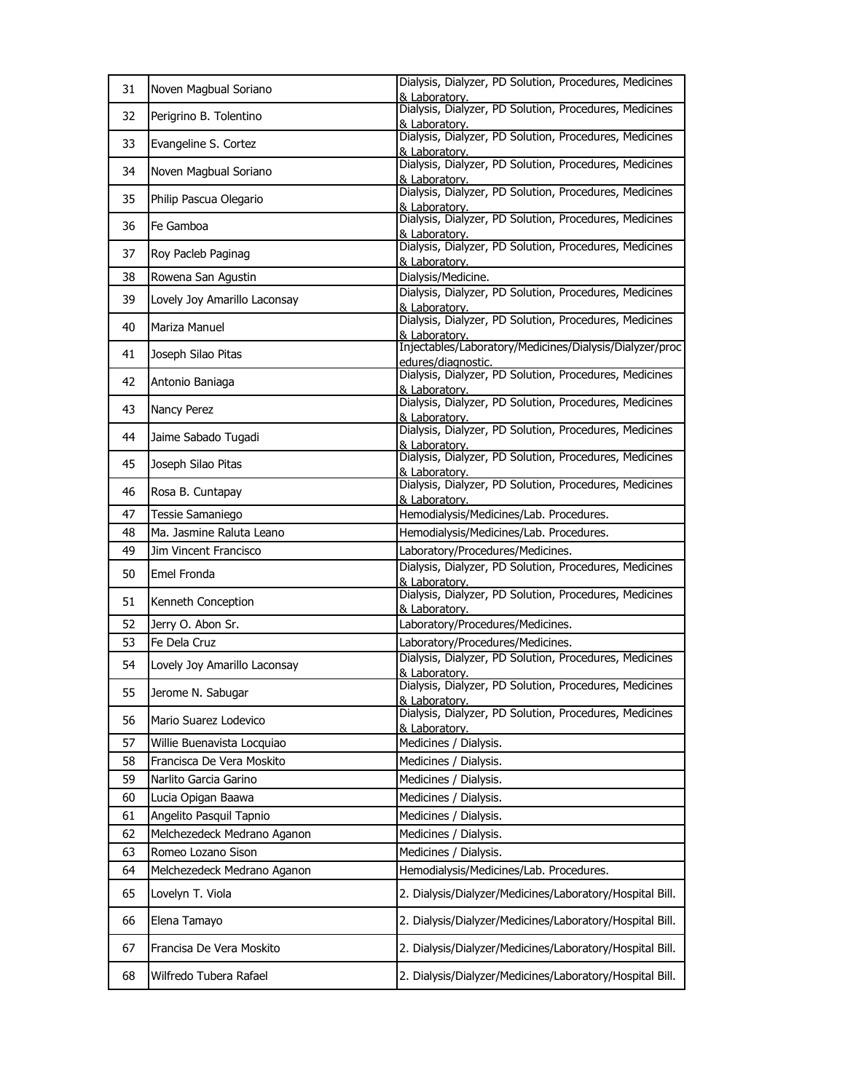| 31 | Noven Magbual Soriano        | Dialysis, Dialyzer, PD Solution, Procedures, Medicines<br>& Laboratory.       |
|----|------------------------------|-------------------------------------------------------------------------------|
| 32 | Perigrino B. Tolentino       | Dialysis, Dialyzer, PD Solution, Procedures, Medicines<br>& Laboratory.       |
| 33 | Evangeline S. Cortez         | Dialysis, Dialyzer, PD Solution, Procedures, Medicines<br>& Laboratory.       |
| 34 | Noven Magbual Soriano        | Dialysis, Dialyzer, PD Solution, Procedures, Medicines<br>& Laboratory.       |
| 35 | Philip Pascua Olegario       | Dialysis, Dialyzer, PD Solution, Procedures, Medicines<br>& Laboratory.       |
| 36 | Fe Gamboa                    | Dialysis, Dialyzer, PD Solution, Procedures, Medicines<br>& Laboratory.       |
| 37 | Roy Pacleb Paginag           | Dialysis, Dialyzer, PD Solution, Procedures, Medicines<br>& Laboratory.       |
| 38 | Rowena San Agustin           | Dialysis/Medicine.                                                            |
| 39 | Lovely Joy Amarillo Laconsay | Dialysis, Dialyzer, PD Solution, Procedures, Medicines<br>& Laboratory.       |
| 40 | Mariza Manuel                | Dialysis, Dialyzer, PD Solution, Procedures, Medicines<br>& Laboratory.       |
| 41 | Joseph Silao Pitas           | Injectables/Laboratory/Medicines/Dialysis/Dialyzer/proc<br>edures/diagnostic. |
| 42 | Antonio Baniaga              | Dialysis, Dialyzer, PD Solution, Procedures, Medicines<br>& Laboratory.       |
| 43 | Nancy Perez                  | Dialysis, Dialyzer, PD Solution, Procedures, Medicines<br>& Laboratory.       |
| 44 | Jaime Sabado Tugadi          | Dialysis, Dialyzer, PD Solution, Procedures, Medicines<br>& Laboratory.       |
| 45 | Joseph Silao Pitas           | Dialysis, Dialyzer, PD Solution, Procedures, Medicines<br>& Laboratory.       |
| 46 | Rosa B. Cuntapay             | Dialysis, Dialyzer, PD Solution, Procedures, Medicines<br>& Laboratory.       |
| 47 | Tessie Samaniego             | Hemodialysis/Medicines/Lab. Procedures.                                       |
| 48 | Ma. Jasmine Raluta Leano     | Hemodialysis/Medicines/Lab. Procedures.                                       |
| 49 | Jim Vincent Francisco        | Laboratory/Procedures/Medicines.                                              |
| 50 | Emel Fronda                  | Dialysis, Dialyzer, PD Solution, Procedures, Medicines<br>& Laboratory.       |
| 51 | Kenneth Conception           | Dialysis, Dialyzer, PD Solution, Procedures, Medicines<br>& Laboratory.       |
| 52 | Jerry O. Abon Sr.            | Laboratory/Procedures/Medicines.                                              |
| 53 | Fe Dela Cruz                 | Laboratory/Procedures/Medicines.                                              |
| 54 | Lovely Joy Amarillo Laconsay | Dialysis, Dialyzer, PD Solution, Procedures, Medicines<br>& Laboratory.       |
| 55 | Jerome N. Sabugar            | Dialysis, Dialyzer, PD Solution, Procedures, Medicines<br>& Laboratory.       |
| 56 | Mario Suarez Lodevico        | Dialysis, Dialyzer, PD Solution, Procedures, Medicines<br>& Laboratory.       |
| 57 | Willie Buenavista Locquiao   | Medicines / Dialysis.                                                         |
| 58 | Francisca De Vera Moskito    | Medicines / Dialysis.                                                         |
| 59 | Narlito Garcia Garino        | Medicines / Dialysis.                                                         |
| 60 | Lucia Opigan Baawa           | Medicines / Dialysis.                                                         |
| 61 | Angelito Pasquil Tapnio      | Medicines / Dialysis.                                                         |
| 62 | Melchezedeck Medrano Aganon  | Medicines / Dialysis.                                                         |
| 63 | Romeo Lozano Sison           | Medicines / Dialysis.                                                         |
| 64 | Melchezedeck Medrano Aganon  | Hemodialysis/Medicines/Lab. Procedures.                                       |
| 65 | Lovelyn T. Viola             | 2. Dialysis/Dialyzer/Medicines/Laboratory/Hospital Bill.                      |
| 66 | Elena Tamayo                 | 2. Dialysis/Dialyzer/Medicines/Laboratory/Hospital Bill.                      |
| 67 | Francisa De Vera Moskito     | 2. Dialysis/Dialyzer/Medicines/Laboratory/Hospital Bill.                      |
| 68 | Wilfredo Tubera Rafael       | 2. Dialysis/Dialyzer/Medicines/Laboratory/Hospital Bill.                      |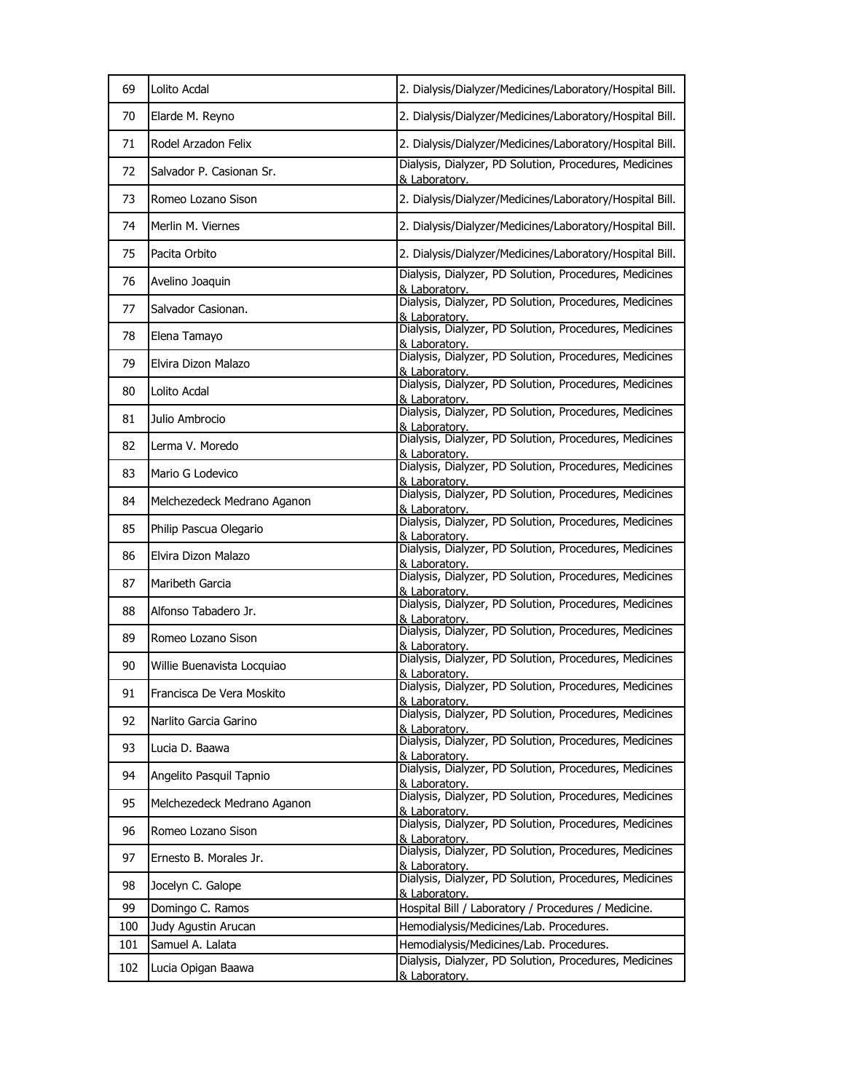| 69  | Lolito Acdal                | 2. Dialysis/Dialyzer/Medicines/Laboratory/Hospital Bill.                |
|-----|-----------------------------|-------------------------------------------------------------------------|
| 70  | Elarde M. Reyno             | 2. Dialysis/Dialyzer/Medicines/Laboratory/Hospital Bill.                |
| 71  | Rodel Arzadon Felix         | 2. Dialysis/Dialyzer/Medicines/Laboratory/Hospital Bill.                |
| 72  | Salvador P. Casionan Sr.    | Dialysis, Dialyzer, PD Solution, Procedures, Medicines<br>& Laboratory. |
| 73  | Romeo Lozano Sison          | 2. Dialysis/Dialyzer/Medicines/Laboratory/Hospital Bill.                |
| 74  | Merlin M. Viernes           | 2. Dialysis/Dialyzer/Medicines/Laboratory/Hospital Bill.                |
| 75  | Pacita Orbito               | 2. Dialysis/Dialyzer/Medicines/Laboratory/Hospital Bill.                |
| 76  | Avelino Joaquin             | Dialysis, Dialyzer, PD Solution, Procedures, Medicines<br>& Laboratory. |
| 77  | Salvador Casionan.          | Dialysis, Dialyzer, PD Solution, Procedures, Medicines<br>& Laboratory. |
| 78  | Elena Tamayo                | Dialysis, Dialyzer, PD Solution, Procedures, Medicines<br>& Laboratory. |
| 79  | Elvira Dizon Malazo         | Dialysis, Dialyzer, PD Solution, Procedures, Medicines<br>& Laboratory. |
| 80  | Lolito Acdal                | Dialysis, Dialyzer, PD Solution, Procedures, Medicines<br>& Laboratory. |
| 81  | Julio Ambrocio              | Dialysis, Dialyzer, PD Solution, Procedures, Medicines<br>& Laboratory. |
| 82  | Lerma V. Moredo             | Dialysis, Dialyzer, PD Solution, Procedures, Medicines<br>& Laboratorv. |
| 83  | Mario G Lodevico            | Dialysis, Dialyzer, PD Solution, Procedures, Medicines<br>& Laboratory. |
| 84  | Melchezedeck Medrano Aganon | Dialysis, Dialyzer, PD Solution, Procedures, Medicines<br>& Laboratory. |
| 85  | Philip Pascua Olegario      | Dialysis, Dialyzer, PD Solution, Procedures, Medicines<br>& Laboratorv. |
| 86  | Elvira Dizon Malazo         | Dialysis, Dialyzer, PD Solution, Procedures, Medicines<br>& Laboratory. |
| 87  | Maribeth Garcia             | Dialysis, Dialyzer, PD Solution, Procedures, Medicines<br>& Laboratory. |
| 88  | Alfonso Tabadero Jr.        | Dialysis, Dialyzer, PD Solution, Procedures, Medicines<br>& Laboratorv. |
| 89  | Romeo Lozano Sison          | Dialysis, Dialyzer, PD Solution, Procedures, Medicines<br>& Laboratory. |
| 90  | Willie Buenavista Locquiao  | Dialysis, Dialyzer, PD Solution, Procedures, Medicines<br>& Laboratory. |
| 91  | Francisca De Vera Moskito   | Dialysis, Dialyzer, PD Solution, Procedures, Medicines<br>& Laboratory. |
| 92  | Narlito Garcia Garino       | Dialysis, Dialyzer, PD Solution, Procedures, Medicines<br>& Laboratorv. |
| 93  | Lucia D. Baawa              | Dialysis, Dialyzer, PD Solution, Procedures, Medicines<br>& Laboratory. |
| 94  | Angelito Pasquil Tapnio     | Dialysis, Dialyzer, PD Solution, Procedures, Medicines<br>& Laboratory. |
| 95  | Melchezedeck Medrano Aganon | Dialysis, Dialyzer, PD Solution, Procedures, Medicines<br>& Laboratory. |
| 96  | Romeo Lozano Sison          | Dialysis, Dialyzer, PD Solution, Procedures, Medicines<br>& Laboratory. |
| 97  | Ernesto B. Morales Jr.      | Dialysis, Dialyzer, PD Solution, Procedures, Medicines<br>& Laboratory. |
| 98  | Jocelyn C. Galope           | Dialysis, Dialyzer, PD Solution, Procedures, Medicines<br>& Laboratory. |
| 99  | Domingo C. Ramos            | Hospital Bill / Laboratory / Procedures / Medicine.                     |
| 100 | Judy Agustin Arucan         | Hemodialysis/Medicines/Lab. Procedures.                                 |
| 101 | Samuel A. Lalata            | Hemodialysis/Medicines/Lab. Procedures.                                 |
| 102 | Lucia Opigan Baawa          | Dialysis, Dialyzer, PD Solution, Procedures, Medicines<br>& Laboratory. |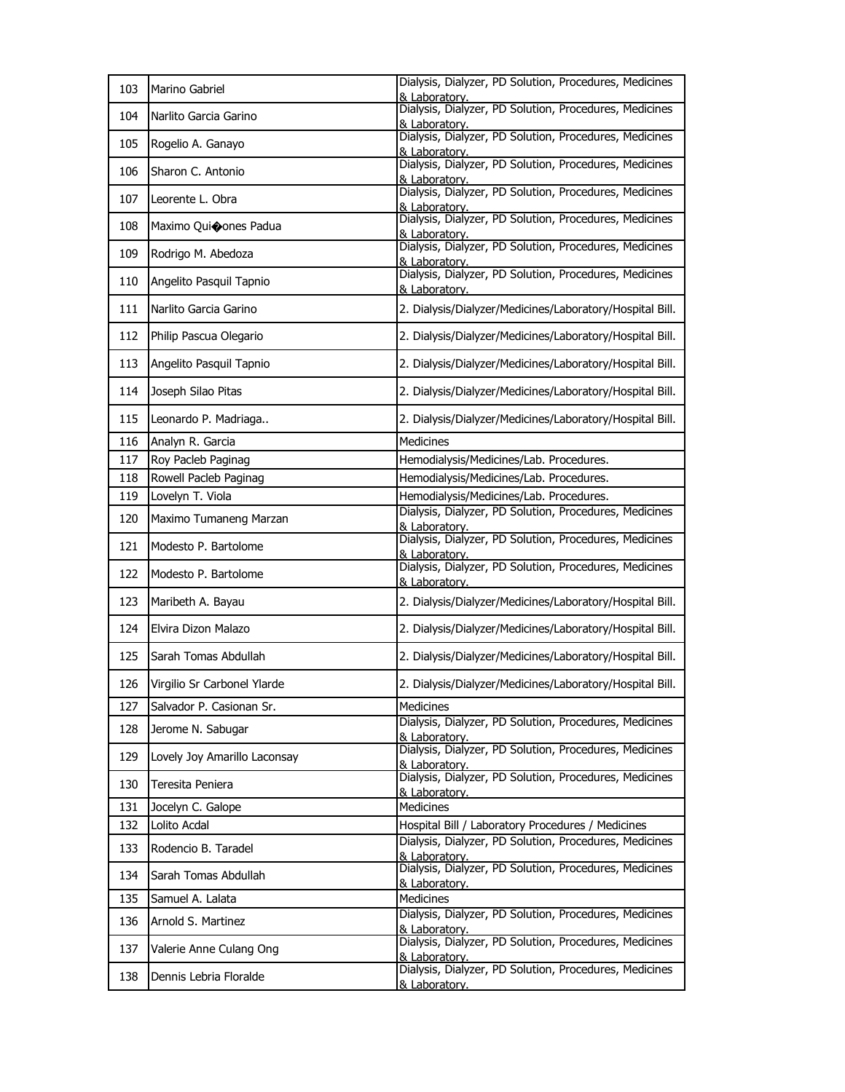| 103 | Marino Gabriel               | Dialysis, Dialyzer, PD Solution, Procedures, Medicines<br>& Laboratory. |
|-----|------------------------------|-------------------------------------------------------------------------|
| 104 | Narlito Garcia Garino        | Dialysis, Dialyzer, PD Solution, Procedures, Medicines<br>& Laboratory. |
| 105 | Rogelio A. Ganayo            | Dialysis, Dialyzer, PD Solution, Procedures, Medicines<br>& Laboratory. |
| 106 | Sharon C. Antonio            | Dialysis, Dialyzer, PD Solution, Procedures, Medicines<br>& Laboratory. |
| 107 | Leorente L. Obra             | Dialysis, Dialyzer, PD Solution, Procedures, Medicines<br>& Laboratory. |
| 108 | Maximo Quioones Padua        | Dialysis, Dialyzer, PD Solution, Procedures, Medicines<br>& Laboratory. |
| 109 | Rodrigo M. Abedoza           | Dialysis, Dialyzer, PD Solution, Procedures, Medicines<br>& Laboratory. |
| 110 | Angelito Pasquil Tapnio      | Dialysis, Dialyzer, PD Solution, Procedures, Medicines<br>& Laboratory. |
| 111 | Narlito Garcia Garino        | 2. Dialysis/Dialyzer/Medicines/Laboratory/Hospital Bill.                |
| 112 | Philip Pascua Olegario       | 2. Dialysis/Dialyzer/Medicines/Laboratory/Hospital Bill.                |
| 113 | Angelito Pasquil Tapnio      | 2. Dialysis/Dialyzer/Medicines/Laboratory/Hospital Bill.                |
| 114 | Joseph Silao Pitas           | 2. Dialysis/Dialyzer/Medicines/Laboratory/Hospital Bill.                |
| 115 | Leonardo P. Madriaga         | 2. Dialysis/Dialyzer/Medicines/Laboratory/Hospital Bill.                |
| 116 | Analyn R. Garcia             | <b>Medicines</b>                                                        |
| 117 | Roy Pacleb Paginag           | Hemodialysis/Medicines/Lab. Procedures.                                 |
| 118 | Rowell Pacleb Paginag        | Hemodialysis/Medicines/Lab. Procedures.                                 |
| 119 | Lovelyn T. Viola             | Hemodialysis/Medicines/Lab. Procedures.                                 |
| 120 | Maximo Tumaneng Marzan       | Dialysis, Dialyzer, PD Solution, Procedures, Medicines<br>& Laboratory. |
| 121 | Modesto P. Bartolome         | Dialysis, Dialyzer, PD Solution, Procedures, Medicines<br>& Laboratory. |
| 122 | Modesto P. Bartolome         | Dialysis, Dialyzer, PD Solution, Procedures, Medicines<br>& Laboratory. |
| 123 | Maribeth A. Bayau            | 2. Dialysis/Dialyzer/Medicines/Laboratory/Hospital Bill.                |
| 124 | Elvira Dizon Malazo          | 2. Dialysis/Dialyzer/Medicines/Laboratory/Hospital Bill.                |
| 125 | Sarah Tomas Abdullah         | 2. Dialysis/Dialyzer/Medicines/Laboratory/Hospital Bill.                |
| 126 | Virgilio Sr Carbonel Ylarde  | 2. Dialysis/Dialyzer/Medicines/Laboratory/Hospital Bill.                |
| 127 | Salvador P. Casionan Sr.     | Medicines                                                               |
| 128 | Jerome N. Sabugar            | Dialysis, Dialyzer, PD Solution, Procedures, Medicines<br>& Laboratory. |
| 129 | Lovely Joy Amarillo Laconsay | Dialysis, Dialyzer, PD Solution, Procedures, Medicines<br>& Laboratory. |
| 130 | Teresita Peniera             | Dialysis, Dialyzer, PD Solution, Procedures, Medicines<br>& Laboratory. |
| 131 | Jocelyn C. Galope            | <b>Medicines</b>                                                        |
| 132 | Lolito Acdal                 | Hospital Bill / Laboratory Procedures / Medicines                       |
| 133 | Rodencio B. Taradel          | Dialysis, Dialyzer, PD Solution, Procedures, Medicines<br>& Laboratory. |
| 134 | Sarah Tomas Abdullah         | Dialysis, Dialyzer, PD Solution, Procedures, Medicines<br>& Laboratory. |
| 135 | Samuel A. Lalata             | <b>Medicines</b>                                                        |
| 136 | Arnold S. Martinez           | Dialysis, Dialyzer, PD Solution, Procedures, Medicines                  |
|     |                              | & Laboratory.                                                           |
| 137 | Valerie Anne Culang Ong      | Dialysis, Dialyzer, PD Solution, Procedures, Medicines<br>& Laboratorv. |
| 138 | Dennis Lebria Floralde       | Dialysis, Dialyzer, PD Solution, Procedures, Medicines<br>& Laboratory. |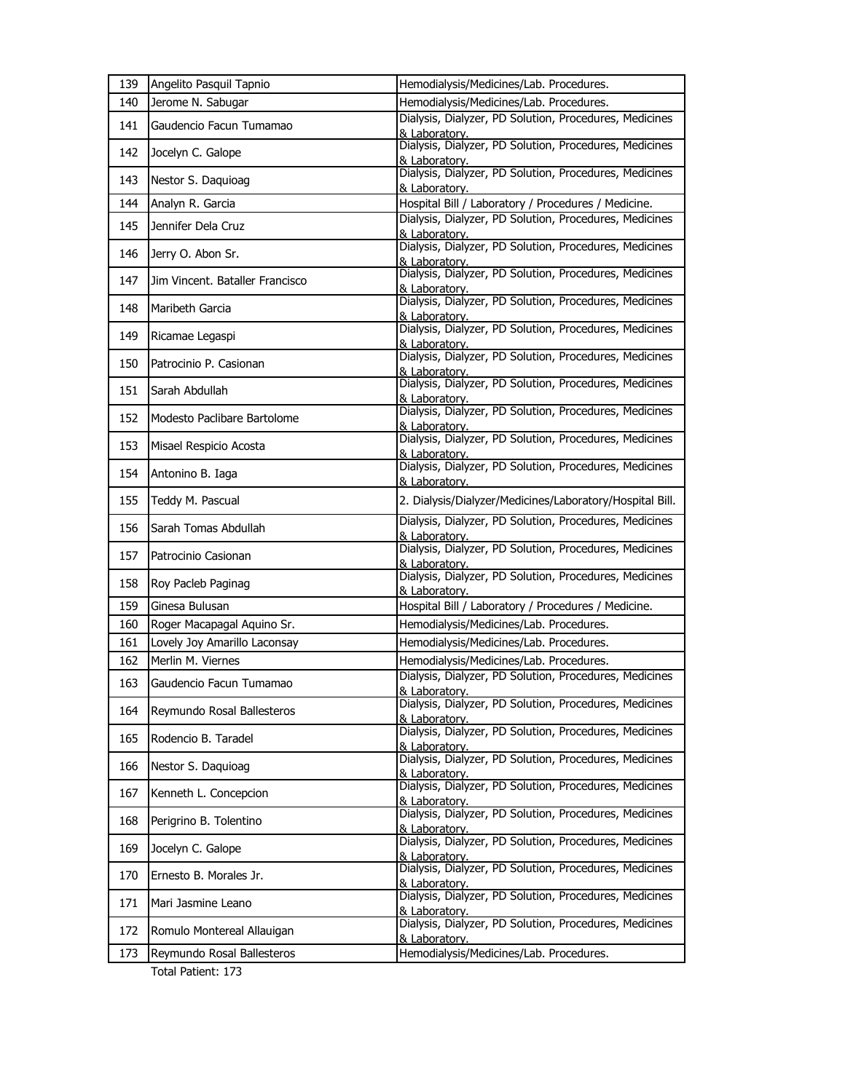| 139 | Angelito Pasquil Tapnio         | Hemodialysis/Medicines/Lab. Procedures.                                 |
|-----|---------------------------------|-------------------------------------------------------------------------|
| 140 | Jerome N. Sabugar               | Hemodialysis/Medicines/Lab. Procedures.                                 |
| 141 | Gaudencio Facun Tumamao         | Dialysis, Dialyzer, PD Solution, Procedures, Medicines<br>& Laboratory. |
| 142 | Jocelyn C. Galope               | Dialysis, Dialyzer, PD Solution, Procedures, Medicines<br>& Laboratory. |
| 143 | Nestor S. Daquioag              | Dialysis, Dialyzer, PD Solution, Procedures, Medicines<br>& Laboratory. |
| 144 | Analyn R. Garcia                | Hospital Bill / Laboratory / Procedures / Medicine.                     |
| 145 | Jennifer Dela Cruz              | Dialysis, Dialyzer, PD Solution, Procedures, Medicines<br>& Laboratory. |
| 146 | Jerry O. Abon Sr.               | Dialysis, Dialyzer, PD Solution, Procedures, Medicines<br>& Laboratory. |
| 147 | Jim Vincent. Bataller Francisco | Dialysis, Dialyzer, PD Solution, Procedures, Medicines<br>& Laboratory. |
| 148 | Maribeth Garcia                 | Dialysis, Dialyzer, PD Solution, Procedures, Medicines<br>& Laboratory. |
| 149 | Ricamae Legaspi                 | Dialysis, Dialyzer, PD Solution, Procedures, Medicines<br>& Laboratory. |
| 150 | Patrocinio P. Casionan          | Dialysis, Dialyzer, PD Solution, Procedures, Medicines<br>& Laboratorv. |
| 151 | Sarah Abdullah                  | Dialysis, Dialyzer, PD Solution, Procedures, Medicines<br>& Laboratory. |
| 152 | Modesto Paclibare Bartolome     | Dialysis, Dialyzer, PD Solution, Procedures, Medicines<br>& Laboratory. |
| 153 | Misael Respicio Acosta          | Dialysis, Dialyzer, PD Solution, Procedures, Medicines<br>& Laboratory. |
| 154 | Antonino B. Iaga                | Dialysis, Dialyzer, PD Solution, Procedures, Medicines<br>& Laboratory. |
| 155 | Teddy M. Pascual                | 2. Dialysis/Dialyzer/Medicines/Laboratory/Hospital Bill.                |
| 156 | Sarah Tomas Abdullah            | Dialysis, Dialyzer, PD Solution, Procedures, Medicines<br>& Laboratorv. |
| 157 | Patrocinio Casionan             | Dialysis, Dialyzer, PD Solution, Procedures, Medicines<br>& Laboratory. |
| 158 | Roy Pacleb Paginag              | Dialysis, Dialyzer, PD Solution, Procedures, Medicines<br>& Laboratory. |
| 159 | Ginesa Bulusan                  | Hospital Bill / Laboratory / Procedures / Medicine.                     |
| 160 | Roger Macapagal Aquino Sr.      | Hemodialysis/Medicines/Lab. Procedures.                                 |
| 161 | Lovely Joy Amarillo Laconsay    | Hemodialysis/Medicines/Lab. Procedures.                                 |
| 162 | Merlin M. Viernes               | Hemodialysis/Medicines/Lab. Procedures.                                 |
| 163 | Gaudencio Facun Tumamao         | Dialysis, Dialyzer, PD Solution, Procedures, Medicines<br>& Laboratory  |
| 164 | Reymundo Rosal Ballesteros      | Dialysis, Dialyzer, PD Solution, Procedures, Medicines<br>& Laboratory. |
| 165 | Rodencio B. Taradel             | Dialysis, Dialyzer, PD Solution, Procedures, Medicines<br>& Laboratory. |
| 166 | Nestor S. Daquioag              | Dialysis, Dialyzer, PD Solution, Procedures, Medicines<br>& Laboratory. |
| 167 | Kenneth L. Concepcion           | Dialysis, Dialyzer, PD Solution, Procedures, Medicines<br>& Laboratory. |
| 168 | Perigrino B. Tolentino          | Dialysis, Dialyzer, PD Solution, Procedures, Medicines<br>& Laboratory. |
| 169 | Jocelyn C. Galope               | Dialysis, Dialyzer, PD Solution, Procedures, Medicines<br>& Laboratory. |
| 170 | Ernesto B. Morales Jr.          | Dialysis, Dialyzer, PD Solution, Procedures, Medicines<br>& Laboratory. |
| 171 | Mari Jasmine Leano              | Dialysis, Dialyzer, PD Solution, Procedures, Medicines<br>& Laboratory. |
| 172 | Romulo Montereal Allauigan      | Dialysis, Dialyzer, PD Solution, Procedures, Medicines                  |
|     |                                 | & Laboratory.                                                           |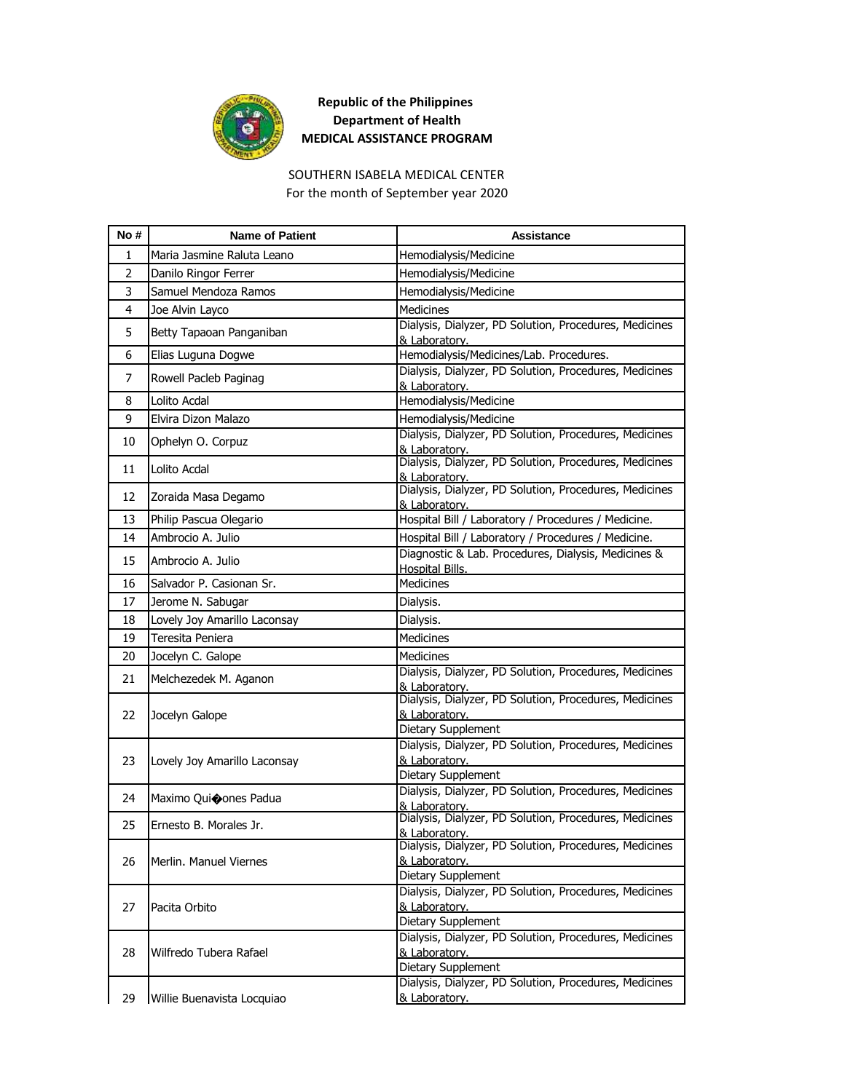

#### SOUTHERN ISABELA MEDICAL CENTER For the month of September year 2020

| No# | <b>Name of Patient</b>       | Assistance                                                                                                 |
|-----|------------------------------|------------------------------------------------------------------------------------------------------------|
| 1   | Maria Jasmine Raluta Leano   | Hemodialysis/Medicine                                                                                      |
| 2   | Danilo Ringor Ferrer         | Hemodialysis/Medicine                                                                                      |
| 3   | Samuel Mendoza Ramos         | Hemodialysis/Medicine                                                                                      |
| 4   | Joe Alvin Layco              | <b>Medicines</b>                                                                                           |
| 5   | Betty Tapaoan Panganiban     | Dialysis, Dialyzer, PD Solution, Procedures, Medicines<br>& Laboratory.                                    |
| 6   | Elias Luguna Dogwe           | Hemodialysis/Medicines/Lab. Procedures.                                                                    |
| 7   | Rowell Pacleb Paginag        | Dialysis, Dialyzer, PD Solution, Procedures, Medicines<br>& Laboratory.                                    |
| 8   | Lolito Acdal                 | Hemodialysis/Medicine                                                                                      |
| 9   | Elvira Dizon Malazo          | Hemodialysis/Medicine                                                                                      |
| 10  | Ophelyn O. Corpuz            | Dialysis, Dialyzer, PD Solution, Procedures, Medicines<br>& Laboratory.                                    |
| 11  | Lolito Acdal                 | Dialysis, Dialyzer, PD Solution, Procedures, Medicines<br>& Laboratory.                                    |
| 12  | Zoraida Masa Degamo          | Dialysis, Dialyzer, PD Solution, Procedures, Medicines                                                     |
|     |                              | & Laboratory.                                                                                              |
| 13  | Philip Pascua Olegario       | Hospital Bill / Laboratory / Procedures / Medicine.                                                        |
| 14  | Ambrocio A. Julio            | Hospital Bill / Laboratory / Procedures / Medicine.<br>Diagnostic & Lab. Procedures, Dialysis, Medicines & |
| 15  | Ambrocio A. Julio            | Hospital Bills.                                                                                            |
| 16  | Salvador P. Casionan Sr.     | <b>Medicines</b>                                                                                           |
| 17  | Jerome N. Sabugar            | Dialysis.                                                                                                  |
| 18  | Lovely Joy Amarillo Laconsay | Dialysis.                                                                                                  |
| 19  | Teresita Peniera             | <b>Medicines</b>                                                                                           |
| 20  | Jocelyn C. Galope            | Medicines                                                                                                  |
| 21  | Melchezedek M. Aganon        | Dialysis, Dialyzer, PD Solution, Procedures, Medicines<br>& Laboratory.                                    |
| 22  | Jocelyn Galope               | Dialysis, Dialyzer, PD Solution, Procedures, Medicines<br>& Laboratory.                                    |
|     |                              | Dietary Supplement                                                                                         |
|     |                              | Dialysis, Dialyzer, PD Solution, Procedures, Medicines                                                     |
| 23  | Lovely Joy Amarillo Laconsay | & Laboratory.                                                                                              |
|     |                              | Dietary Supplement<br>Dialysis, Dialyzer, PD Solution, Procedures, Medicines                               |
| 24  | Maximo Quioones Padua        | & Laboratory.                                                                                              |
| 25  | Ernesto B. Morales Jr.       | Dialysis, Dialyzer, PD Solution, Procedures, Medicines                                                     |
|     |                              | <u>&amp; Laboratory.</u><br>Dialysis, Dialyzer, PD Solution, Procedures, Medicines                         |
| 26  | Merlin. Manuel Viernes       | & Laboratory.                                                                                              |
|     |                              | Dietary Supplement                                                                                         |
|     |                              | Dialysis, Dialyzer, PD Solution, Procedures, Medicines                                                     |
| 27  | Pacita Orbito                | & Laboratory.                                                                                              |
|     |                              | Dietary Supplement                                                                                         |
|     | Wilfredo Tubera Rafael       | Dialysis, Dialyzer, PD Solution, Procedures, Medicines<br>& Laboratory.                                    |
| 28  |                              | Dietary Supplement                                                                                         |
|     |                              | Dialysis, Dialyzer, PD Solution, Procedures, Medicines                                                     |
| 29  | Willie Buenavista Locquiao   | & Laboratory.                                                                                              |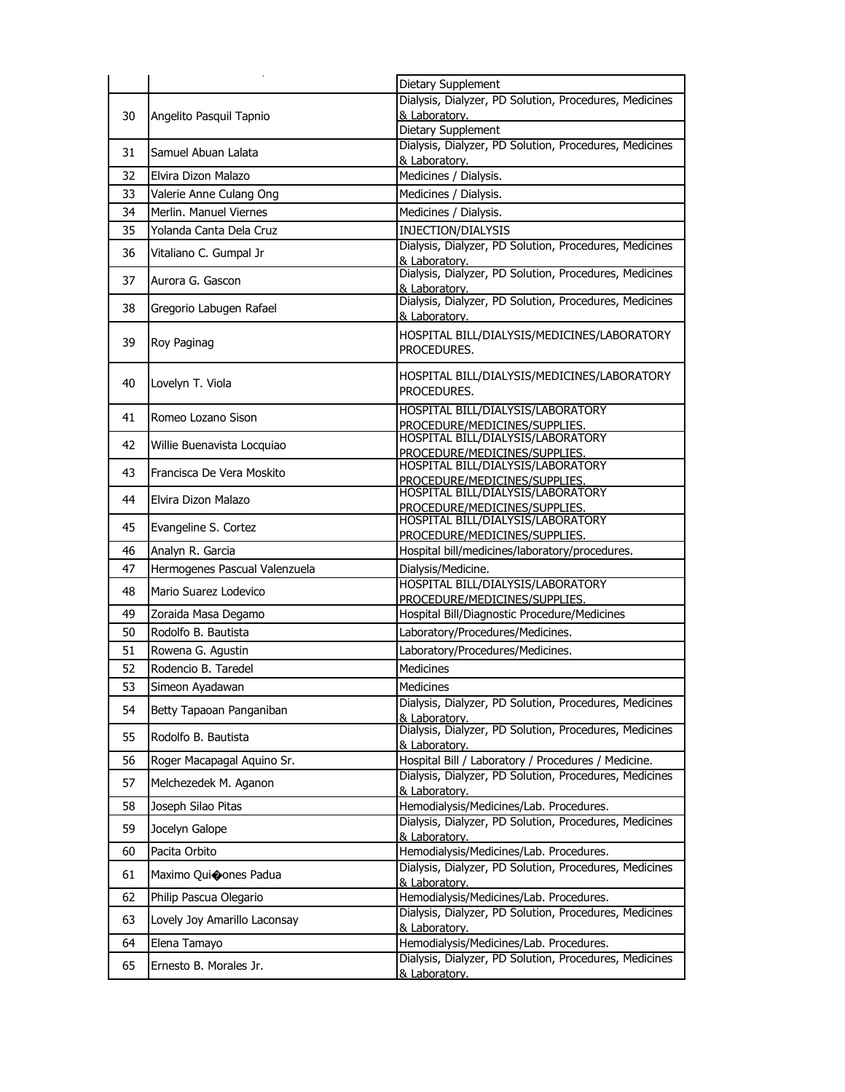|    |                               | Dietary Supplement                                                      |
|----|-------------------------------|-------------------------------------------------------------------------|
|    |                               | Dialysis, Dialyzer, PD Solution, Procedures, Medicines                  |
| 30 | Angelito Pasquil Tapnio       | & Laboratory.<br>Dietary Supplement                                     |
|    |                               | Dialysis, Dialyzer, PD Solution, Procedures, Medicines                  |
| 31 | Samuel Abuan Lalata           | & Laboratory.                                                           |
| 32 | Elvira Dizon Malazo           | Medicines / Dialysis.                                                   |
| 33 | Valerie Anne Culang Ong       | Medicines / Dialysis.                                                   |
| 34 | Merlin, Manuel Viernes        | Medicines / Dialysis.                                                   |
| 35 | Yolanda Canta Dela Cruz       | INJECTION/DIALYSIS                                                      |
| 36 | Vitaliano C. Gumpal Jr        | Dialysis, Dialyzer, PD Solution, Procedures, Medicines<br>& Laboratory. |
| 37 | Aurora G. Gascon              | Dialysis, Dialyzer, PD Solution, Procedures, Medicines<br>& Laboratory. |
| 38 | Gregorio Labugen Rafael       | Dialysis, Dialyzer, PD Solution, Procedures, Medicines<br>& Laboratory. |
| 39 | Roy Paginag                   | HOSPITAL BILL/DIALYSIS/MEDICINES/LABORATORY<br>PROCEDURES.              |
| 40 | Lovelyn T. Viola              | HOSPITAL BILL/DIALYSIS/MEDICINES/LABORATORY<br>PROCEDURES.              |
| 41 | Romeo Lozano Sison            | HOSPITAL BILL/DIALYSIS/LABORATORY<br>PROCEDURE/MEDICINES/SUPPLIES.      |
| 42 | Willie Buenavista Locquiao    | HOSPITAL BILL/DIALYSIS/LABORATORY<br>PROCEDURE/MEDICINES/SUPPLIES.      |
| 43 | Francisca De Vera Moskito     | HOSPITAL BILL/DIALYSIS/LABORATORY<br>PROCEDURE/MEDICINES/SUPPLIES.      |
| 44 | Elvira Dizon Malazo           | HOSPITAL BILL/DIALYSIS/LABORATORY<br>PROCEDURE/MEDICINES/SUPPLIES.      |
| 45 | Evangeline S. Cortez          | HOSPITAL BILL/DIALYSIS/LABORATORY<br>PROCEDURE/MEDICINES/SUPPLIES.      |
| 46 | Analyn R. Garcia              | Hospital bill/medicines/laboratory/procedures.                          |
| 47 | Hermogenes Pascual Valenzuela | Dialysis/Medicine.                                                      |
| 48 | Mario Suarez Lodevico         | HOSPITAL BILL/DIALYSIS/LABORATORY<br>PROCEDURE/MEDICINES/SUPPLIES.      |
| 49 | Zoraida Masa Degamo           | Hospital Bill/Diagnostic Procedure/Medicines                            |
| 50 | Rodolfo B. Bautista           | Laboratory/Procedures/Medicines.                                        |
| 51 | Rowena G. Agustin             | Laboratory/Procedures/Medicines.                                        |
| 52 | Rodencio B. Taredel           | Medicines                                                               |
| 53 | Simeon Ayadawan               | Medicines                                                               |
| 54 | Betty Tapaoan Panganiban      | Dialysis, Dialyzer, PD Solution, Procedures, Medicines<br>& Laboratory. |
| 55 | Rodolfo B. Bautista           | Dialysis, Dialyzer, PD Solution, Procedures, Medicines<br>& Laboratory. |
| 56 | Roger Macapagal Aquino Sr.    | Hospital Bill / Laboratory / Procedures / Medicine.                     |
| 57 | Melchezedek M. Aganon         | Dialysis, Dialyzer, PD Solution, Procedures, Medicines<br>& Laboratory. |
| 58 | Joseph Silao Pitas            | Hemodialysis/Medicines/Lab. Procedures.                                 |
| 59 | Jocelyn Galope                | Dialysis, Dialyzer, PD Solution, Procedures, Medicines<br>& Laboratory. |
| 60 | Pacita Orbito                 | Hemodialysis/Medicines/Lab. Procedures.                                 |
| 61 | Maximo Quioones Padua         | Dialysis, Dialyzer, PD Solution, Procedures, Medicines<br>& Laboratory. |
| 62 | Philip Pascua Olegario        | Hemodialysis/Medicines/Lab. Procedures.                                 |
| 63 | Lovely Joy Amarillo Laconsay  | Dialysis, Dialyzer, PD Solution, Procedures, Medicines<br>& Laboratory. |
| 64 | Elena Tamayo                  | Hemodialysis/Medicines/Lab. Procedures.                                 |
| 65 | Ernesto B. Morales Jr.        | Dialysis, Dialyzer, PD Solution, Procedures, Medicines<br>& Laboratory. |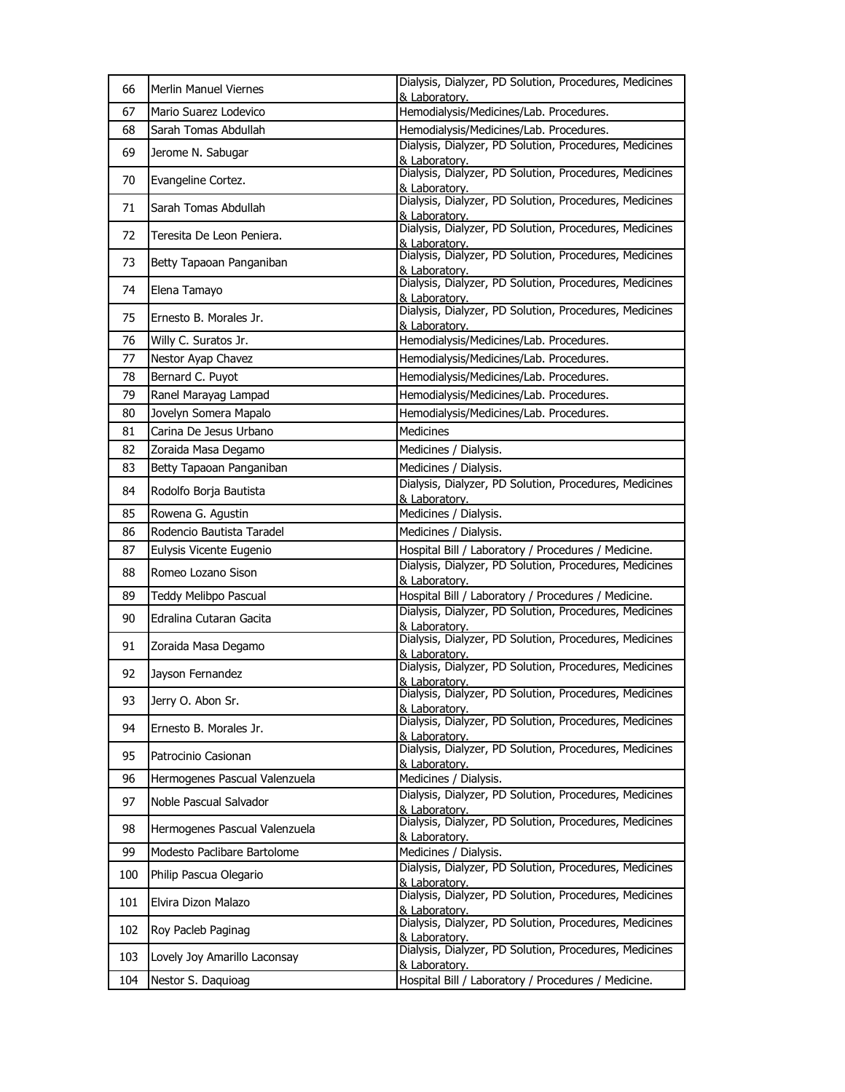| 66  | Merlin Manuel Viernes         | Dialysis, Dialyzer, PD Solution, Procedures, Medicines<br>& Laboratory.                                                           |
|-----|-------------------------------|-----------------------------------------------------------------------------------------------------------------------------------|
| 67  | Mario Suarez Lodevico         | Hemodialysis/Medicines/Lab. Procedures.                                                                                           |
| 68  | Sarah Tomas Abdullah          | Hemodialysis/Medicines/Lab. Procedures.                                                                                           |
| 69  | Jerome N. Sabugar             | Dialysis, Dialyzer, PD Solution, Procedures, Medicines<br>& Laboratory.                                                           |
| 70  | Evangeline Cortez.            | Dialysis, Dialyzer, PD Solution, Procedures, Medicines<br>& Laboratorv.                                                           |
| 71  | Sarah Tomas Abdullah          | Dialysis, Dialyzer, PD Solution, Procedures, Medicines                                                                            |
| 72  | Teresita De Leon Peniera.     | & Laboratory.<br>Dialysis, Dialyzer, PD Solution, Procedures, Medicines<br>& Laboratory.                                          |
| 73  | Betty Tapaoan Panganiban      | Dialysis, Dialyzer, PD Solution, Procedures, Medicines<br>& Laboratory.                                                           |
| 74  | Elena Tamayo                  | Dialysis, Dialyzer, PD Solution, Procedures, Medicines<br>& Laboratory.                                                           |
| 75  | Ernesto B. Morales Jr.        | Dialysis, Dialyzer, PD Solution, Procedures, Medicines<br>& Laboratory.                                                           |
| 76  | Willy C. Suratos Jr.          | Hemodialysis/Medicines/Lab. Procedures.                                                                                           |
| 77  | Nestor Ayap Chavez            | Hemodialysis/Medicines/Lab. Procedures.                                                                                           |
| 78  | Bernard C. Puyot              | Hemodialysis/Medicines/Lab. Procedures.                                                                                           |
| 79  | Ranel Marayag Lampad          | Hemodialysis/Medicines/Lab. Procedures.                                                                                           |
| 80  | Jovelyn Somera Mapalo         | Hemodialysis/Medicines/Lab. Procedures.                                                                                           |
| 81  | Carina De Jesus Urbano        | Medicines                                                                                                                         |
| 82  | Zoraida Masa Degamo           | Medicines / Dialysis.                                                                                                             |
| 83  | Betty Tapaoan Panganiban      | Medicines / Dialysis.                                                                                                             |
| 84  | Rodolfo Borja Bautista        | Dialysis, Dialyzer, PD Solution, Procedures, Medicines<br>& Laboratory.                                                           |
| 85  | Rowena G. Agustin             | Medicines / Dialysis.                                                                                                             |
| 86  | Rodencio Bautista Taradel     | Medicines / Dialysis.                                                                                                             |
| 87  | Eulysis Vicente Eugenio       | Hospital Bill / Laboratory / Procedures / Medicine.                                                                               |
| 88  | Romeo Lozano Sison            | Dialysis, Dialyzer, PD Solution, Procedures, Medicines<br>& Laboratory.                                                           |
| 89  | Teddy Melibpo Pascual         | Hospital Bill / Laboratory / Procedures / Medicine.                                                                               |
| 90  | Edralina Cutaran Gacita       | Dialysis, Dialyzer, PD Solution, Procedures, Medicines<br>& Laboratory.                                                           |
| 91  | Zoraida Masa Degamo           | Dialysis, Dialyzer, PD Solution, Procedures, Medicines<br>& Laboratory.                                                           |
| 92  | Jayson Fernandez              | Dialysis, Dialyzer, PD Solution, Procedures, Medicines<br>& Laboratory.<br>Dialysis, Dialyzer, PD Solution, Procedures, Medicines |
| 93  | Jerry O. Abon Sr.             | & Laboratory.                                                                                                                     |
| 94  | Ernesto B. Morales Jr.        | Dialysis, Dialyzer, PD Solution, Procedures, Medicines<br>& Laboratory.                                                           |
| 95  | Patrocinio Casionan           | Dialysis, Dialyzer, PD Solution, Procedures, Medicines<br>& Laboratory.                                                           |
| 96  | Hermogenes Pascual Valenzuela | Medicines / Dialysis.                                                                                                             |
| 97  | Noble Pascual Salvador        | Dialysis, Dialyzer, PD Solution, Procedures, Medicines<br>& Laboratory.                                                           |
| 98  | Hermogenes Pascual Valenzuela | Dialysis, Dialyzer, PD Solution, Procedures, Medicines<br>& Laboratory.                                                           |
| 99  | Modesto Paclibare Bartolome   | Medicines / Dialysis.                                                                                                             |
| 100 | Philip Pascua Olegario        | Dialysis, Dialyzer, PD Solution, Procedures, Medicines<br>& Laboratory.                                                           |
| 101 | Elvira Dizon Malazo           | Dialysis, Dialyzer, PD Solution, Procedures, Medicines<br>& Laboratory.                                                           |
| 102 | Roy Pacleb Paginag            | Dialysis, Dialyzer, PD Solution, Procedures, Medicines<br>& Laboratory.                                                           |
| 103 | Lovely Joy Amarillo Laconsay  | Dialysis, Dialyzer, PD Solution, Procedures, Medicines<br>& Laboratory.                                                           |
| 104 | Nestor S. Daquioag            | Hospital Bill / Laboratory / Procedures / Medicine.                                                                               |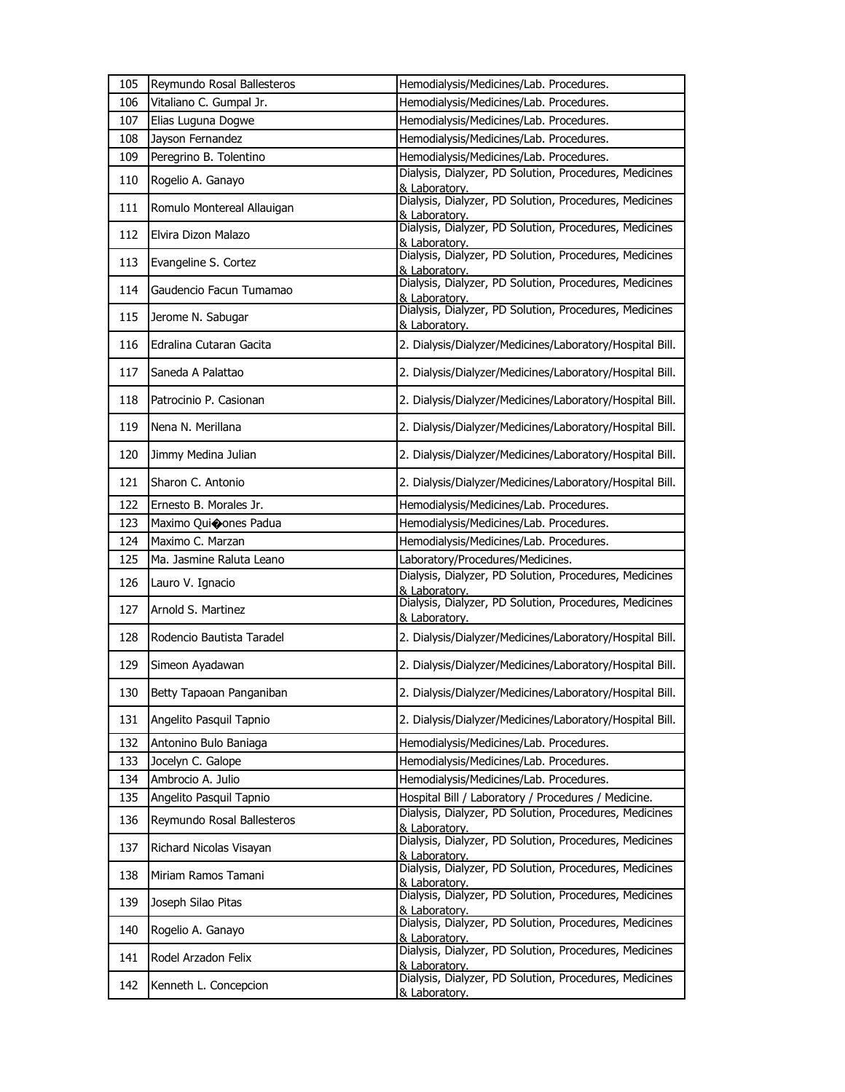| 105 | Reymundo Rosal Ballesteros | Hemodialysis/Medicines/Lab. Procedures.                                                                                           |
|-----|----------------------------|-----------------------------------------------------------------------------------------------------------------------------------|
| 106 | Vitaliano C. Gumpal Jr.    | Hemodialysis/Medicines/Lab. Procedures.                                                                                           |
| 107 | Elias Luguna Dogwe         | Hemodialysis/Medicines/Lab. Procedures.                                                                                           |
| 108 | Jayson Fernandez           | Hemodialysis/Medicines/Lab. Procedures.                                                                                           |
| 109 | Peregrino B. Tolentino     | Hemodialysis/Medicines/Lab. Procedures.                                                                                           |
| 110 | Rogelio A. Ganayo          | Dialysis, Dialyzer, PD Solution, Procedures, Medicines<br>& Laboratory.                                                           |
| 111 | Romulo Montereal Allauigan | Dialysis, Dialyzer, PD Solution, Procedures, Medicines<br>& Laboratory.                                                           |
| 112 | Elvira Dizon Malazo        | Dialysis, Dialyzer, PD Solution, Procedures, Medicines<br>& Laboratory.                                                           |
| 113 | Evangeline S. Cortez       | Dialysis, Dialyzer, PD Solution, Procedures, Medicines<br>& Laboratory.                                                           |
| 114 | Gaudencio Facun Tumamao    | Dialysis, Dialyzer, PD Solution, Procedures, Medicines<br>& Laboratory.                                                           |
| 115 | Jerome N. Sabugar          | Dialysis, Dialyzer, PD Solution, Procedures, Medicines<br>& Laboratory.                                                           |
| 116 | Edralina Cutaran Gacita    | 2. Dialysis/Dialyzer/Medicines/Laboratory/Hospital Bill.                                                                          |
| 117 | Saneda A Palattao          | 2. Dialysis/Dialyzer/Medicines/Laboratory/Hospital Bill.                                                                          |
| 118 | Patrocinio P. Casionan     | 2. Dialysis/Dialyzer/Medicines/Laboratory/Hospital Bill.                                                                          |
| 119 | Nena N. Merillana          | 2. Dialysis/Dialyzer/Medicines/Laboratory/Hospital Bill.                                                                          |
| 120 | Jimmy Medina Julian        | 2. Dialysis/Dialyzer/Medicines/Laboratory/Hospital Bill.                                                                          |
| 121 | Sharon C. Antonio          | 2. Dialysis/Dialyzer/Medicines/Laboratory/Hospital Bill.                                                                          |
| 122 | Ernesto B. Morales Jr.     | Hemodialysis/Medicines/Lab. Procedures.                                                                                           |
| 123 | Maximo Qui�ones Padua      | Hemodialysis/Medicines/Lab. Procedures.                                                                                           |
| 124 | Maximo C. Marzan           | Hemodialysis/Medicines/Lab. Procedures.                                                                                           |
|     |                            |                                                                                                                                   |
| 125 | Ma. Jasmine Raluta Leano   | Laboratory/Procedures/Medicines.                                                                                                  |
| 126 | Lauro V. Ignacio           | Dialysis, Dialyzer, PD Solution, Procedures, Medicines<br>& Laboratory.                                                           |
| 127 | Arnold S. Martinez         | Dialysis, Dialyzer, PD Solution, Procedures, Medicines<br>& Laboratory.                                                           |
| 128 | Rodencio Bautista Taradel  | 2. Dialysis/Dialyzer/Medicines/Laboratory/Hospital Bill.                                                                          |
| 129 | Simeon Ayadawan            | 2. Dialysis/Dialyzer/Medicines/Laboratory/Hospital Bill.                                                                          |
| 130 | Betty Tapaoan Panganiban   | 2. Dialysis/Dialyzer/Medicines/Laboratory/Hospital Bill.                                                                          |
| 131 | Angelito Pasquil Tapnio    | 2. Dialysis/Dialyzer/Medicines/Laboratory/Hospital Bill.                                                                          |
| 132 | Antonino Bulo Baniaga      | Hemodialysis/Medicines/Lab. Procedures.                                                                                           |
| 133 | Jocelyn C. Galope          | Hemodialysis/Medicines/Lab. Procedures.                                                                                           |
| 134 | Ambrocio A. Julio          | Hemodialysis/Medicines/Lab. Procedures.                                                                                           |
| 135 | Angelito Pasquil Tapnio    | Hospital Bill / Laboratory / Procedures / Medicine.                                                                               |
| 136 | Reymundo Rosal Ballesteros | Dialysis, Dialyzer, PD Solution, Procedures, Medicines<br>& Laboratory.                                                           |
| 137 | Richard Nicolas Visayan    | Dialysis, Dialyzer, PD Solution, Procedures, Medicines<br>& Laboratory.                                                           |
| 138 | Miriam Ramos Tamani        | Dialysis, Dialyzer, PD Solution, Procedures, Medicines<br>& Laboratory.                                                           |
| 139 | Joseph Silao Pitas         | Dialysis, Dialyzer, PD Solution, Procedures, Medicines<br>& Laboratory.                                                           |
| 140 | Rogelio A. Ganayo          | Dialysis, Dialyzer, PD Solution, Procedures, Medicines<br>& Laboratory.                                                           |
| 141 | Rodel Arzadon Felix        | Dialysis, Dialyzer, PD Solution, Procedures, Medicines<br>& Laboratory.<br>Dialysis, Dialyzer, PD Solution, Procedures, Medicines |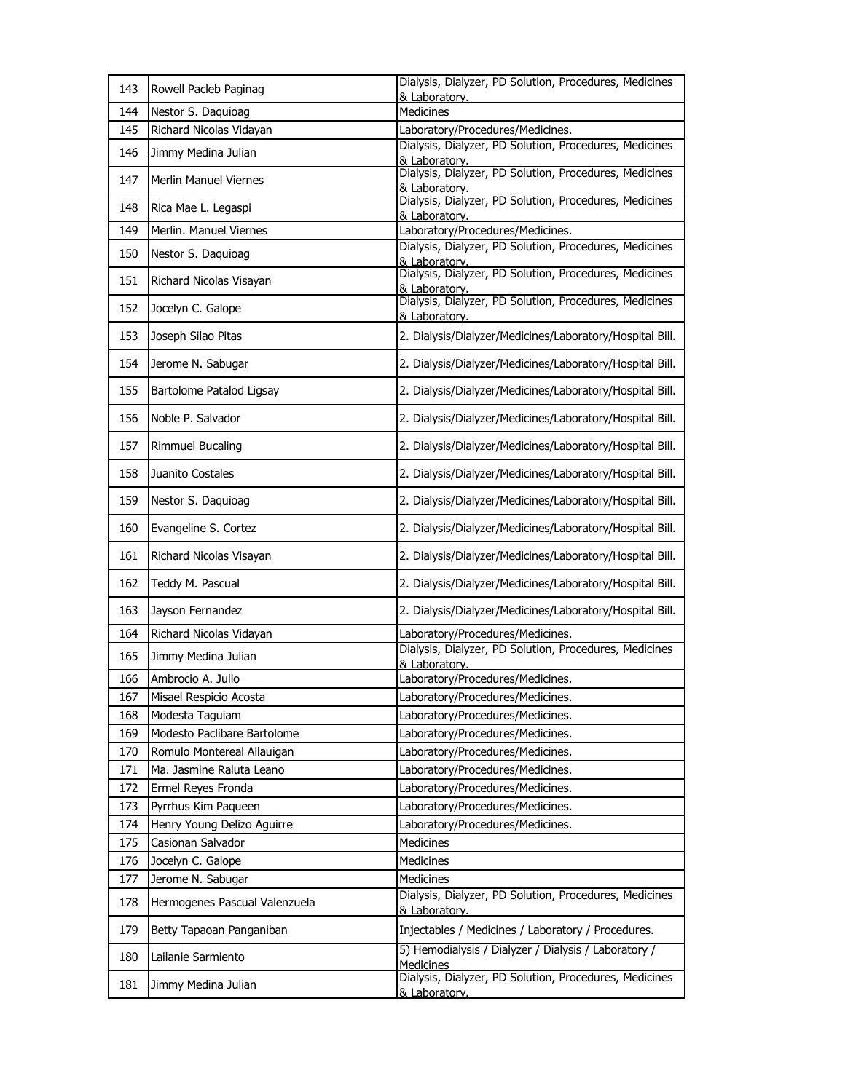| 143 | Rowell Pacleb Paginag         | Dialysis, Dialyzer, PD Solution, Procedures, Medicines<br>& Laboratory.  |
|-----|-------------------------------|--------------------------------------------------------------------------|
| 144 | Nestor S. Daquioag            | <b>Medicines</b>                                                         |
| 145 | Richard Nicolas Vidayan       | Laboratory/Procedures/Medicines.                                         |
| 146 | Jimmy Medina Julian           | Dialysis, Dialyzer, PD Solution, Procedures, Medicines<br>& Laboratory.  |
| 147 | Merlin Manuel Viernes         | Dialysis, Dialyzer, PD Solution, Procedures, Medicines<br>& Laboratorv.  |
| 148 | Rica Mae L. Legaspi           | Dialysis, Dialyzer, PD Solution, Procedures, Medicines<br>& Laboratory.  |
| 149 | Merlin. Manuel Viernes        | Laboratory/Procedures/Medicines.                                         |
| 150 | Nestor S. Daquioag            | Dialysis, Dialyzer, PD Solution, Procedures, Medicines<br>& Laboratory.  |
| 151 | Richard Nicolas Visayan       | Dialysis, Dialyzer, PD Solution, Procedures, Medicines<br>& Laboratory.  |
| 152 | Jocelyn C. Galope             | Dialysis, Dialyzer, PD Solution, Procedures, Medicines<br>& Laboratory.  |
| 153 | Joseph Silao Pitas            | 2. Dialysis/Dialyzer/Medicines/Laboratory/Hospital Bill.                 |
| 154 | Jerome N. Sabugar             | 2. Dialysis/Dialyzer/Medicines/Laboratory/Hospital Bill.                 |
| 155 | Bartolome Patalod Ligsay      | 2. Dialysis/Dialyzer/Medicines/Laboratory/Hospital Bill.                 |
| 156 | Noble P. Salvador             | 2. Dialysis/Dialyzer/Medicines/Laboratory/Hospital Bill.                 |
| 157 | Rimmuel Bucaling              | 2. Dialysis/Dialyzer/Medicines/Laboratory/Hospital Bill.                 |
| 158 | Juanito Costales              | 2. Dialysis/Dialyzer/Medicines/Laboratory/Hospital Bill.                 |
| 159 | Nestor S. Daquioag            | 2. Dialysis/Dialyzer/Medicines/Laboratory/Hospital Bill.                 |
| 160 | Evangeline S. Cortez          | 2. Dialysis/Dialyzer/Medicines/Laboratory/Hospital Bill.                 |
| 161 | Richard Nicolas Visayan       | 2. Dialysis/Dialyzer/Medicines/Laboratory/Hospital Bill.                 |
| 162 | Teddy M. Pascual              | 2. Dialysis/Dialyzer/Medicines/Laboratory/Hospital Bill.                 |
| 163 | Jayson Fernandez              | 2. Dialysis/Dialyzer/Medicines/Laboratory/Hospital Bill.                 |
| 164 | Richard Nicolas Vidayan       | Laboratory/Procedures/Medicines.                                         |
| 165 | Jimmy Medina Julian           | Dialysis, Dialyzer, PD Solution, Procedures, Medicines<br>& Laboratory.  |
| 166 | Ambrocio A. Julio             | Laboratory/Procedures/Medicines.                                         |
| 167 | Misael Respicio Acosta        | Laboratory/Procedures/Medicines.                                         |
| 168 | Modesta Taguiam               | Laboratory/Procedures/Medicines.                                         |
| 169 | Modesto Paclibare Bartolome   | Laboratory/Procedures/Medicines.                                         |
| 170 | Romulo Montereal Allauigan    | Laboratory/Procedures/Medicines.                                         |
| 171 | Ma. Jasmine Raluta Leano      | Laboratory/Procedures/Medicines.                                         |
| 172 | Ermel Reyes Fronda            | Laboratory/Procedures/Medicines.                                         |
| 173 | Pyrrhus Kim Paqueen           | Laboratory/Procedures/Medicines.                                         |
| 174 | Henry Young Delizo Aguirre    | Laboratory/Procedures/Medicines.                                         |
| 175 | Casionan Salvador             | <b>Medicines</b>                                                         |
| 176 | Jocelyn C. Galope             | <b>Medicines</b>                                                         |
| 177 | Jerome N. Sabugar             | Medicines                                                                |
| 178 | Hermogenes Pascual Valenzuela | Dialysis, Dialyzer, PD Solution, Procedures, Medicines<br>& Laboratory.  |
| 179 | Betty Tapaoan Panganiban      | Injectables / Medicines / Laboratory / Procedures.                       |
| 180 | Lailanie Sarmiento            | 5) Hemodialysis / Dialyzer / Dialysis / Laboratory /<br><b>Medicines</b> |
| 181 | Jimmy Medina Julian           | Dialysis, Dialyzer, PD Solution, Procedures, Medicines<br>& Laboratory.  |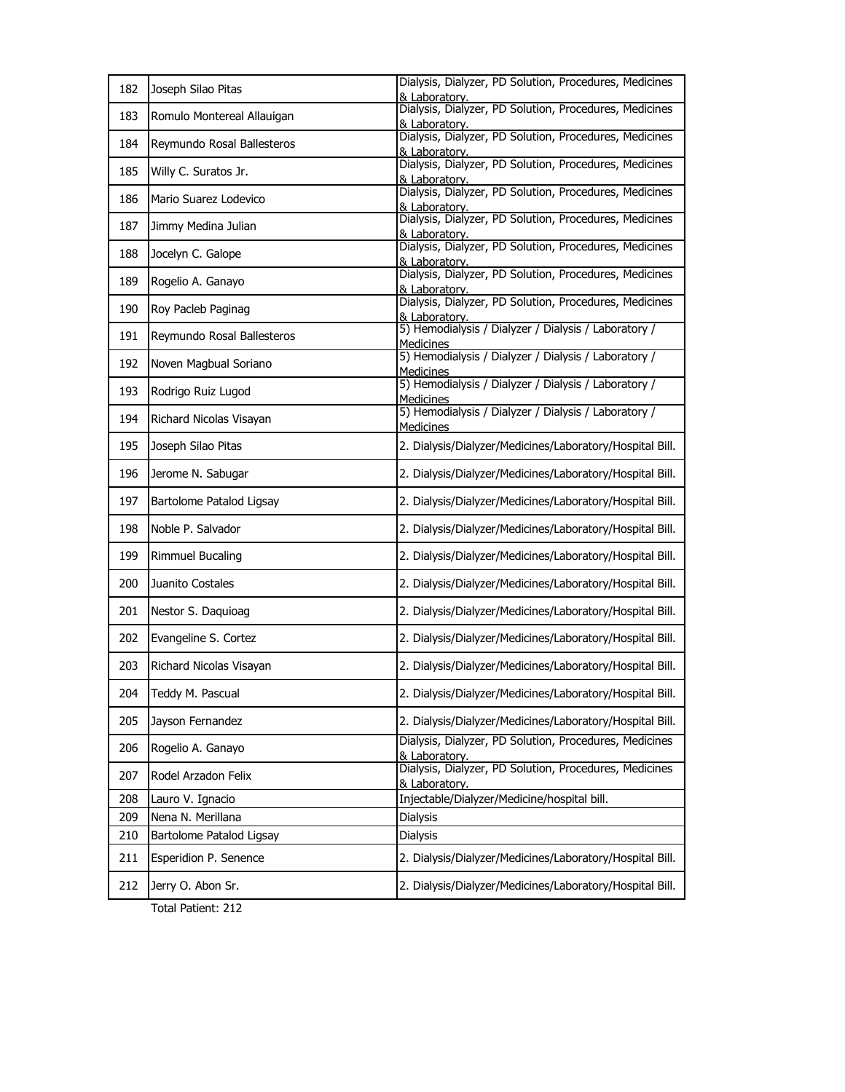| 182 | Joseph Silao Pitas         | Dialysis, Dialyzer, PD Solution, Procedures, Medicines<br>& Laboratory.  |
|-----|----------------------------|--------------------------------------------------------------------------|
| 183 | Romulo Montereal Allauigan | Dialysis, Dialyzer, PD Solution, Procedures, Medicines<br>& Laboratory.  |
| 184 | Reymundo Rosal Ballesteros | Dialysis, Dialyzer, PD Solution, Procedures, Medicines<br>& Laboratory.  |
| 185 | Willy C. Suratos Jr.       | Dialysis, Dialyzer, PD Solution, Procedures, Medicines<br>& Laboratory.  |
| 186 | Mario Suarez Lodevico      | Dialysis, Dialyzer, PD Solution, Procedures, Medicines<br>& Laboratory.  |
| 187 | Jimmy Medina Julian        | Dialysis, Dialyzer, PD Solution, Procedures, Medicines<br>& Laboratory.  |
| 188 | Jocelyn C. Galope          | Dialysis, Dialyzer, PD Solution, Procedures, Medicines<br>& Laboratory.  |
| 189 | Rogelio A. Ganayo          | Dialysis, Dialyzer, PD Solution, Procedures, Medicines<br>& Laboratorv.  |
| 190 | Roy Pacleb Paginag         | Dialysis, Dialyzer, PD Solution, Procedures, Medicines<br>& Laboratory.  |
| 191 | Reymundo Rosal Ballesteros | 5) Hemodialysis / Dialyzer / Dialysis / Laboratory /<br><b>Medicines</b> |
| 192 | Noven Magbual Soriano      | 5) Hemodialysis / Dialyzer / Dialysis / Laboratory /<br><b>Medicines</b> |
| 193 | Rodrigo Ruiz Lugod         | 5) Hemodialysis / Dialyzer / Dialysis / Laboratory /<br><b>Medicines</b> |
| 194 | Richard Nicolas Visayan    | 5) Hemodialysis / Dialyzer / Dialysis / Laboratory /<br><b>Medicines</b> |
| 195 | Joseph Silao Pitas         | 2. Dialysis/Dialyzer/Medicines/Laboratory/Hospital Bill.                 |
| 196 | Jerome N. Sabugar          | 2. Dialysis/Dialyzer/Medicines/Laboratory/Hospital Bill.                 |
| 197 | Bartolome Patalod Ligsay   | 2. Dialysis/Dialyzer/Medicines/Laboratory/Hospital Bill.                 |
| 198 | Noble P. Salvador          | 2. Dialysis/Dialyzer/Medicines/Laboratory/Hospital Bill.                 |
| 199 | Rimmuel Bucaling           | 2. Dialysis/Dialyzer/Medicines/Laboratory/Hospital Bill.                 |
| 200 | Juanito Costales           | 2. Dialysis/Dialyzer/Medicines/Laboratory/Hospital Bill.                 |
| 201 | Nestor S. Daquioag         | 2. Dialysis/Dialyzer/Medicines/Laboratory/Hospital Bill.                 |
| 202 | Evangeline S. Cortez       | 2. Dialysis/Dialyzer/Medicines/Laboratory/Hospital Bill.                 |
| 203 | Richard Nicolas Visayan    | 2. Dialysis/Dialyzer/Medicines/Laboratory/Hospital Bill.                 |
| 204 | Teddy M. Pascual           | 2. Dialysis/Dialyzer/Medicines/Laboratory/Hospital Bill.                 |
| 205 | Jayson Fernandez           | 2. Dialysis/Dialyzer/Medicines/Laboratory/Hospital Bill.                 |
| 206 | Rogelio A. Ganayo          | Dialysis, Dialyzer, PD Solution, Procedures, Medicines<br>& Laboratory.  |
| 207 | Rodel Arzadon Felix        | Dialysis, Dialyzer, PD Solution, Procedures, Medicines<br>& Laboratory.  |
| 208 | Lauro V. Ignacio           | Injectable/Dialyzer/Medicine/hospital bill.                              |
| 209 | Nena N. Merillana          | <b>Dialysis</b>                                                          |
| 210 | Bartolome Patalod Ligsay   | <b>Dialysis</b>                                                          |
| 211 | Esperidion P. Senence      | 2. Dialysis/Dialyzer/Medicines/Laboratory/Hospital Bill.                 |
| 212 | Jerry O. Abon Sr.          | 2. Dialysis/Dialyzer/Medicines/Laboratory/Hospital Bill.                 |
|     | Total Patient: 212         |                                                                          |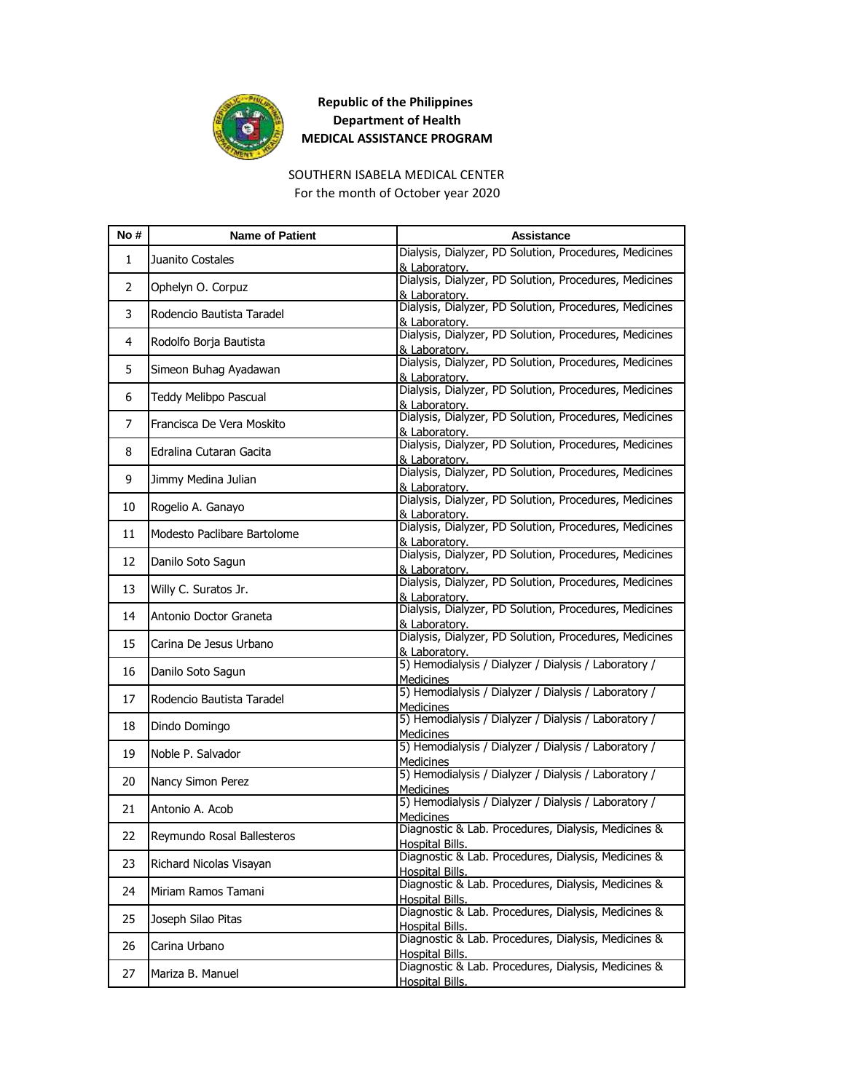![](_page_22_Picture_0.jpeg)

#### SOUTHERN ISABELA MEDICAL CENTER For the month of October year 2020

| No#          | <b>Name of Patient</b>      | <b>Assistance</b>                                                             |
|--------------|-----------------------------|-------------------------------------------------------------------------------|
| $\mathbf{1}$ | Juanito Costales            | Dialysis, Dialyzer, PD Solution, Procedures, Medicines<br>& Laboratory.       |
| 2            | Ophelyn O. Corpuz           | Dialysis, Dialyzer, PD Solution, Procedures, Medicines<br>& Laboratory.       |
| 3            | Rodencio Bautista Taradel   | Dialysis, Dialyzer, PD Solution, Procedures, Medicines<br>& Laboratory.       |
| 4            | Rodolfo Borja Bautista      | Dialysis, Dialyzer, PD Solution, Procedures, Medicines<br>& Laboratory.       |
| 5            | Simeon Buhag Ayadawan       | Dialysis, Dialyzer, PD Solution, Procedures, Medicines<br>& Laboratory.       |
| 6            | Teddy Melibpo Pascual       | Dialysis, Dialyzer, PD Solution, Procedures, Medicines<br>& Laboratory.       |
| 7            | Francisca De Vera Moskito   | Dialysis, Dialyzer, PD Solution, Procedures, Medicines<br>& Laboratory.       |
| 8            | Edralina Cutaran Gacita     | Dialysis, Dialyzer, PD Solution, Procedures, Medicines<br>& Laboratory.       |
| 9            | Jimmy Medina Julian         | Dialysis, Dialyzer, PD Solution, Procedures, Medicines<br>& Laboratory.       |
| 10           | Rogelio A. Ganayo           | Dialysis, Dialyzer, PD Solution, Procedures, Medicines<br>& Laboratory.       |
| 11           | Modesto Paclibare Bartolome | Dialysis, Dialyzer, PD Solution, Procedures, Medicines<br>& Laboratory.       |
| 12           | Danilo Soto Sagun           | Dialysis, Dialyzer, PD Solution, Procedures, Medicines<br>& Laboratory.       |
| 13           | Willy C. Suratos Jr.        | Dialysis, Dialyzer, PD Solution, Procedures, Medicines<br>& Laboratory.       |
| 14           | Antonio Doctor Graneta      | Dialysis, Dialyzer, PD Solution, Procedures, Medicines<br>& Laboratory.       |
| 15           | Carina De Jesus Urbano      | Dialysis, Dialyzer, PD Solution, Procedures, Medicines<br>& Laboratory.       |
| 16           | Danilo Soto Sagun           | 5) Hemodialysis / Dialyzer / Dialysis / Laboratory /<br><b>Medicines</b>      |
| 17           | Rodencio Bautista Taradel   | 5) Hemodialysis / Dialyzer / Dialysis / Laboratory /<br><b>Medicines</b>      |
| 18           | Dindo Domingo               | 5) Hemodialysis / Dialyzer / Dialysis / Laboratory /<br>Medicines             |
| 19           | Noble P. Salvador           | 5) Hemodialysis / Dialyzer / Dialysis / Laboratory /<br><b>Medicines</b>      |
| 20           | Nancy Simon Perez           | 5) Hemodialysis / Dialyzer / Dialysis / Laboratory /<br><b>Medicines</b>      |
| 21           | Antonio A. Acob             | 5) Hemodialysis / Dialyzer / Dialysis / Laboratory /<br>Medicines             |
| 22           | Reymundo Rosal Ballesteros  | Diagnostic & Lab. Procedures, Dialysis, Medicines &<br><b>Hospital Bills.</b> |
| 23           | Richard Nicolas Visayan     | Diagnostic & Lab. Procedures, Dialysis, Medicines &<br><b>Hospital Bills.</b> |
| 24           | Miriam Ramos Tamani         | Diagnostic & Lab. Procedures, Dialysis, Medicines &<br>Hospital Bills.        |
| 25           | Joseph Silao Pitas          | Diagnostic & Lab. Procedures, Dialysis, Medicines &<br><b>Hospital Bills.</b> |
| 26           | Carina Urbano               | Diagnostic & Lab. Procedures, Dialysis, Medicines &<br>Hospital Bills.        |
| 27           | Mariza B. Manuel            | Diagnostic & Lab. Procedures, Dialysis, Medicines &<br><b>Hospital Bills.</b> |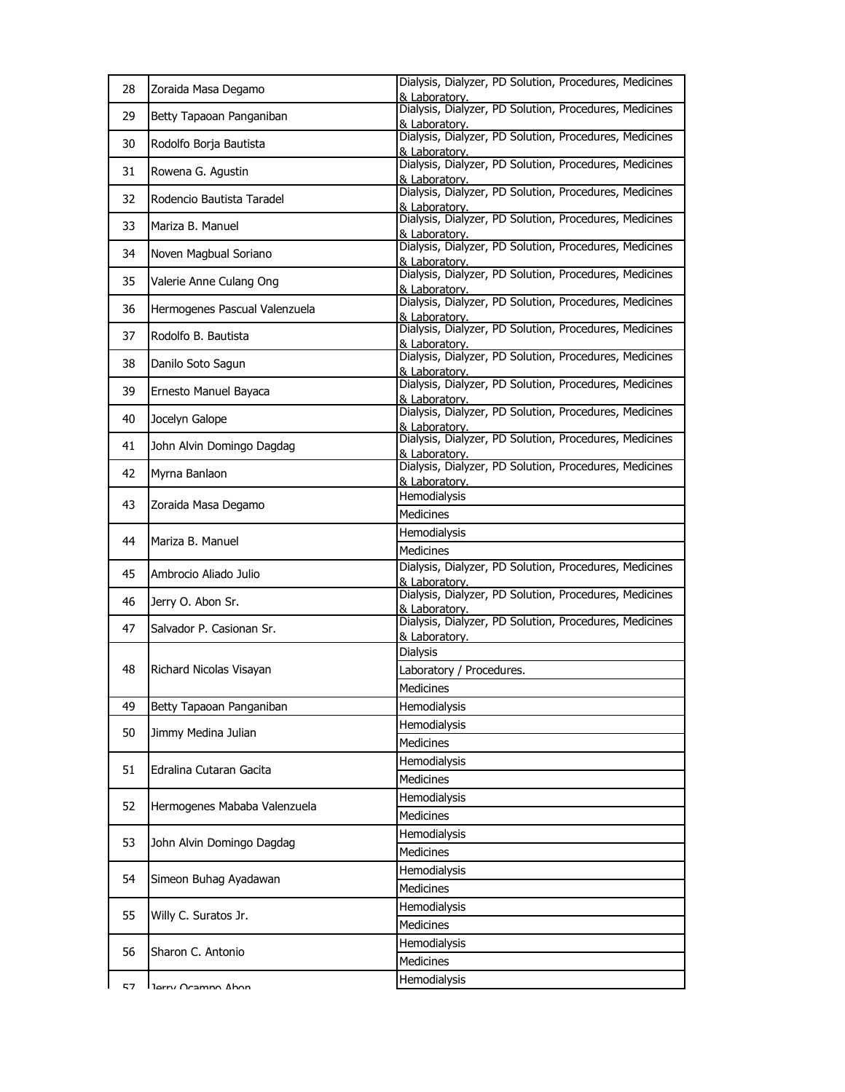| 28 | Zoraida Masa Degamo           | Dialysis, Dialyzer, PD Solution, Procedures, Medicines<br>& Laboratory. |
|----|-------------------------------|-------------------------------------------------------------------------|
| 29 | Betty Tapaoan Panganiban      | Dialysis, Dialyzer, PD Solution, Procedures, Medicines<br>& Laboratory. |
| 30 | Rodolfo Borja Bautista        | Dialysis, Dialyzer, PD Solution, Procedures, Medicines<br>& Laboratory. |
| 31 | Rowena G. Agustin             | Dialysis, Dialyzer, PD Solution, Procedures, Medicines<br>& Laboratory. |
| 32 | Rodencio Bautista Taradel     | Dialysis, Dialyzer, PD Solution, Procedures, Medicines<br>& Laboratory. |
| 33 | Mariza B. Manuel              | Dialysis, Dialyzer, PD Solution, Procedures, Medicines<br>& Laboratory. |
| 34 | Noven Magbual Soriano         | Dialysis, Dialyzer, PD Solution, Procedures, Medicines<br>& Laboratory. |
| 35 | Valerie Anne Culang Ong       | Dialysis, Dialyzer, PD Solution, Procedures, Medicines<br>& Laboratory. |
| 36 | Hermogenes Pascual Valenzuela | Dialysis, Dialyzer, PD Solution, Procedures, Medicines<br>& Laboratory. |
| 37 | Rodolfo B. Bautista           | Dialysis, Dialyzer, PD Solution, Procedures, Medicines<br>& Laboratory. |
| 38 | Danilo Soto Sagun             | Dialysis, Dialyzer, PD Solution, Procedures, Medicines<br>& Laboratory. |
| 39 | Ernesto Manuel Bayaca         | Dialysis, Dialyzer, PD Solution, Procedures, Medicines<br>& Laboratory. |
| 40 | Jocelyn Galope                | Dialysis, Dialyzer, PD Solution, Procedures, Medicines<br>& Laboratory. |
| 41 | John Alvin Domingo Dagdag     | Dialysis, Dialyzer, PD Solution, Procedures, Medicines<br>& Laboratory. |
| 42 | Myrna Banlaon                 | Dialysis, Dialyzer, PD Solution, Procedures, Medicines<br>& Laboratory. |
| 43 | Zoraida Masa Degamo           | Hemodialysis                                                            |
|    |                               | Medicines                                                               |
| 44 | Mariza B. Manuel              | Hemodialysis                                                            |
|    |                               | <b>Medicines</b>                                                        |
| 45 | Ambrocio Aliado Julio         | Dialysis, Dialyzer, PD Solution, Procedures, Medicines<br>& Laboratory. |
| 46 | Jerry O. Abon Sr.             | Dialysis, Dialyzer, PD Solution, Procedures, Medicines<br>& Laboratory. |
| 47 | Salvador P. Casionan Sr.      | Dialysis, Dialyzer, PD Solution, Procedures, Medicines<br>& Laboratory. |
|    |                               | Dialysis                                                                |
| 48 | Richard Nicolas Visayan       | Laboratory / Procedures.                                                |
|    |                               | Medicines                                                               |
| 49 | Betty Tapaoan Panganiban      | Hemodialysis                                                            |
|    |                               | Hemodialysis                                                            |
| 50 | Jimmy Medina Julian           | <b>Medicines</b>                                                        |
|    |                               | Hemodialysis                                                            |
| 51 | Edralina Cutaran Gacita       | Medicines                                                               |
|    |                               | Hemodialysis                                                            |
| 52 | Hermogenes Mababa Valenzuela  | Medicines                                                               |
| 53 |                               | Hemodialysis                                                            |
|    | John Alvin Domingo Dagdag     | Medicines                                                               |
| 54 | Simeon Buhag Ayadawan         | Hemodialysis                                                            |
|    |                               | Medicines                                                               |
| 55 | Willy C. Suratos Jr.          | Hemodialysis                                                            |
|    |                               | <b>Medicines</b>                                                        |
| 56 | Sharon C. Antonio             | Hemodialysis                                                            |
|    |                               | Medicines                                                               |
| 57 | Tarry Ocampo Ahon             | Hemodialysis                                                            |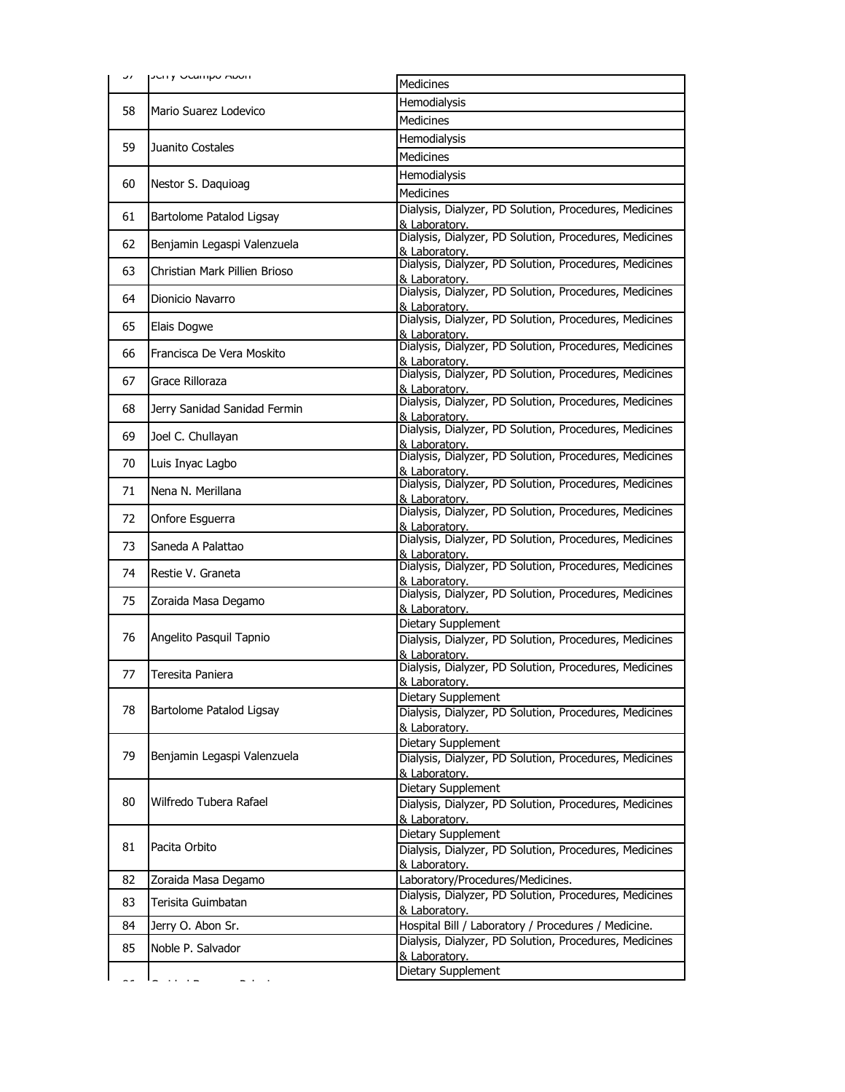| ، ر | <b>JEHY OCATHOU ADOIT</b>     | <b>Medicines</b>                                                        |
|-----|-------------------------------|-------------------------------------------------------------------------|
|     | Mario Suarez Lodevico         | Hemodialysis                                                            |
| 58  |                               | <b>Medicines</b>                                                        |
|     | Juanito Costales              | Hemodialysis                                                            |
| 59  |                               | Medicines                                                               |
|     | Nestor S. Daquioag            | Hemodialysis                                                            |
| 60  |                               | <b>Medicines</b>                                                        |
| 61  | Bartolome Patalod Ligsay      | Dialysis, Dialyzer, PD Solution, Procedures, Medicines<br>& Laboratory. |
| 62  | Benjamin Legaspi Valenzuela   | Dialysis, Dialyzer, PD Solution, Procedures, Medicines<br>& Laboratory. |
| 63  | Christian Mark Pillien Brioso | Dialysis, Dialyzer, PD Solution, Procedures, Medicines<br>& Laboratory. |
| 64  | Dionicio Navarro              | Dialysis, Dialyzer, PD Solution, Procedures, Medicines<br>& Laboratory. |
| 65  | Elais Dogwe                   | Dialysis, Dialyzer, PD Solution, Procedures, Medicines<br>& Laboratory. |
| 66  | Francisca De Vera Moskito     | Dialysis, Dialyzer, PD Solution, Procedures, Medicines<br>& Laboratory. |
| 67  | Grace Rilloraza               | Dialysis, Dialyzer, PD Solution, Procedures, Medicines<br>& Laboratory. |
| 68  | Jerry Sanidad Sanidad Fermin  | Dialysis, Dialyzer, PD Solution, Procedures, Medicines<br>& Laboratory. |
| 69  | Joel C. Chullayan             | Dialysis, Dialyzer, PD Solution, Procedures, Medicines<br>& Laboratory. |
| 70  | Luis Inyac Lagbo              | Dialysis, Dialyzer, PD Solution, Procedures, Medicines<br>& Laboratory. |
| 71  | Nena N. Merillana             | Dialysis, Dialyzer, PD Solution, Procedures, Medicines<br>& Laboratory. |
| 72  | Onfore Esguerra               | Dialysis, Dialyzer, PD Solution, Procedures, Medicines<br>& Laboratory. |
| 73  | Saneda A Palattao             | Dialysis, Dialyzer, PD Solution, Procedures, Medicines<br>& Laboratory. |
| 74  | Restie V. Graneta             | Dialysis, Dialyzer, PD Solution, Procedures, Medicines<br>& Laboratorv. |
| 75  | Zoraida Masa Degamo           | Dialysis, Dialyzer, PD Solution, Procedures, Medicines<br>& Laboratory. |
|     | Angelito Pasquil Tapnio       | Dietary Supplement                                                      |
| 76  |                               | Dialysis, Dialyzer, PD Solution, Procedures, Medicines<br>& Laboratory. |
| 77  | Teresita Paniera              | Dialysis, Dialyzer, PD Solution, Procedures, Medicines                  |
|     |                               | & Laboratory.                                                           |
| 78  |                               | Dietary Supplement                                                      |
|     | Bartolome Patalod Ligsay      | Dialysis, Dialyzer, PD Solution, Procedures, Medicines<br>& Laboratory. |
|     |                               | Dietary Supplement                                                      |
| 79  | Benjamin Legaspi Valenzuela   | Dialysis, Dialyzer, PD Solution, Procedures, Medicines                  |
|     |                               | & Laboratory.                                                           |
| 80  | Wilfredo Tubera Rafael        | Dietary Supplement                                                      |
|     |                               | Dialysis, Dialyzer, PD Solution, Procedures, Medicines<br>& Laboratory. |
|     | Pacita Orbito                 | Dietary Supplement                                                      |
| 81  |                               | Dialysis, Dialyzer, PD Solution, Procedures, Medicines                  |
|     |                               | & Laboratory.                                                           |
| 82  | Zoraida Masa Degamo           | Laboratory/Procedures/Medicines.                                        |
| 83  | Terisita Guimbatan            | Dialysis, Dialyzer, PD Solution, Procedures, Medicines<br>& Laboratory. |
| 84  | Jerry O. Abon Sr.             | Hospital Bill / Laboratory / Procedures / Medicine.                     |
| 85  | Noble P. Salvador             | Dialysis, Dialyzer, PD Solution, Procedures, Medicines                  |
|     |                               | & Laboratory.                                                           |
|     |                               | Dietary Supplement                                                      |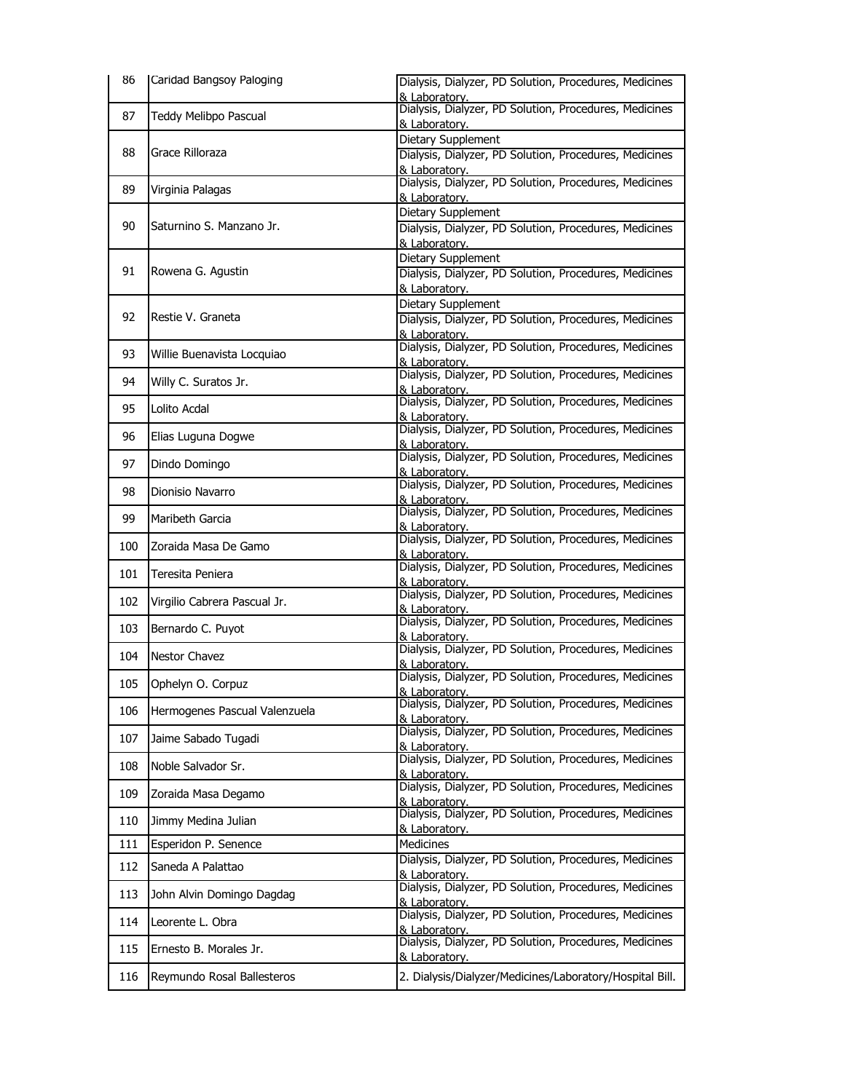| 86  | Caridad Bangsoy Paloging      | Dialysis, Dialyzer, PD Solution, Procedures, Medicines                  |
|-----|-------------------------------|-------------------------------------------------------------------------|
|     |                               | & Laboratory.<br>Dialysis, Dialyzer, PD Solution, Procedures, Medicines |
| 87  | Teddy Melibpo Pascual         | & Laboratory.                                                           |
|     |                               | Dietary Supplement                                                      |
| 88  | Grace Rilloraza               | Dialysis, Dialyzer, PD Solution, Procedures, Medicines<br>& Laboratory. |
|     |                               | Dialysis, Dialyzer, PD Solution, Procedures, Medicines                  |
| 89  | Virginia Palagas              | & Laboratory.                                                           |
|     | Saturnino S. Manzano Jr.      | Dietary Supplement                                                      |
| 90  |                               | Dialysis, Dialyzer, PD Solution, Procedures, Medicines                  |
|     |                               | & Laboratory.<br>Dietary Supplement                                     |
| 91  | Rowena G. Agustin             | Dialysis, Dialyzer, PD Solution, Procedures, Medicines                  |
|     |                               | & Laboratory.                                                           |
|     | Restie V. Graneta             | Dietary Supplement                                                      |
| 92  |                               | Dialysis, Dialyzer, PD Solution, Procedures, Medicines<br>& Laboratory. |
|     |                               | Dialysis, Dialyzer, PD Solution, Procedures, Medicines                  |
| 93  | Willie Buenavista Locquiao    | & Laboratory.                                                           |
| 94  | Willy C. Suratos Jr.          | Dialysis, Dialyzer, PD Solution, Procedures, Medicines<br>& Laboratory. |
|     |                               | Dialysis, Dialyzer, PD Solution, Procedures, Medicines                  |
| 95  | Lolito Acdal                  | & Laboratory.                                                           |
| 96  | Elias Luguna Dogwe            | Dialysis, Dialyzer, PD Solution, Procedures, Medicines<br>& Laboratory. |
|     |                               | Dialysis, Dialyzer, PD Solution, Procedures, Medicines                  |
| 97  | Dindo Domingo                 | & Laboratory.                                                           |
| 98  | Dionisio Navarro              | Dialysis, Dialyzer, PD Solution, Procedures, Medicines<br>& Laboratory. |
|     |                               | Dialysis, Dialyzer, PD Solution, Procedures, Medicines                  |
| 99  | Maribeth Garcia               | & Laboratory.                                                           |
| 100 | Zoraida Masa De Gamo          | Dialysis, Dialyzer, PD Solution, Procedures, Medicines<br>& Laboratory. |
| 101 | Teresita Peniera              | Dialysis, Dialyzer, PD Solution, Procedures, Medicines                  |
|     |                               | & Laboratory.                                                           |
| 102 | Virgilio Cabrera Pascual Jr.  | Dialysis, Dialyzer, PD Solution, Procedures, Medicines<br>& Laboratory. |
| 103 | Bernardo C. Puyot             | Dialysis, Dialyzer, PD Solution, Procedures, Medicines                  |
|     |                               | & Laboratory.                                                           |
| 104 | Nestor Chavez                 | Dialysis, Dialyzer, PD Solution, Procedures, Medicines<br>& Laboratory. |
| 105 | Ophelyn O. Corpuz             | Dialysis, Dialyzer, PD Solution, Procedures, Medicines                  |
|     |                               | & Laboratory.                                                           |
| 106 | Hermogenes Pascual Valenzuela | Dialysis, Dialyzer, PD Solution, Procedures, Medicines<br>& Laboratory. |
| 107 | Jaime Sabado Tugadi           | Dialysis, Dialyzer, PD Solution, Procedures, Medicines                  |
|     |                               | & Laboratory.<br>Dialysis, Dialyzer, PD Solution, Procedures, Medicines |
| 108 | Noble Salvador Sr.            | & Laboratory.                                                           |
| 109 | Zoraida Masa Degamo           | Dialysis, Dialyzer, PD Solution, Procedures, Medicines                  |
|     |                               | & Laboratory.<br>Dialysis, Dialyzer, PD Solution, Procedures, Medicines |
| 110 | Jimmy Medina Julian           | & Laboratory.                                                           |
| 111 | Esperidon P. Senence          | Medicines                                                               |
| 112 | Saneda A Palattao             | Dialysis, Dialyzer, PD Solution, Procedures, Medicines                  |
|     |                               | & Laboratory.<br>Dialysis, Dialyzer, PD Solution, Procedures, Medicines |
| 113 | John Alvin Domingo Dagdag     | & Laboratory.                                                           |
| 114 | Leorente L. Obra              | Dialysis, Dialyzer, PD Solution, Procedures, Medicines                  |
|     |                               | & Laboratory.<br>Dialysis, Dialyzer, PD Solution, Procedures, Medicines |
| 115 | Ernesto B. Morales Jr.        | & Laboratory.                                                           |
| 116 | Reymundo Rosal Ballesteros    | 2. Dialysis/Dialyzer/Medicines/Laboratory/Hospital Bill.                |
|     |                               |                                                                         |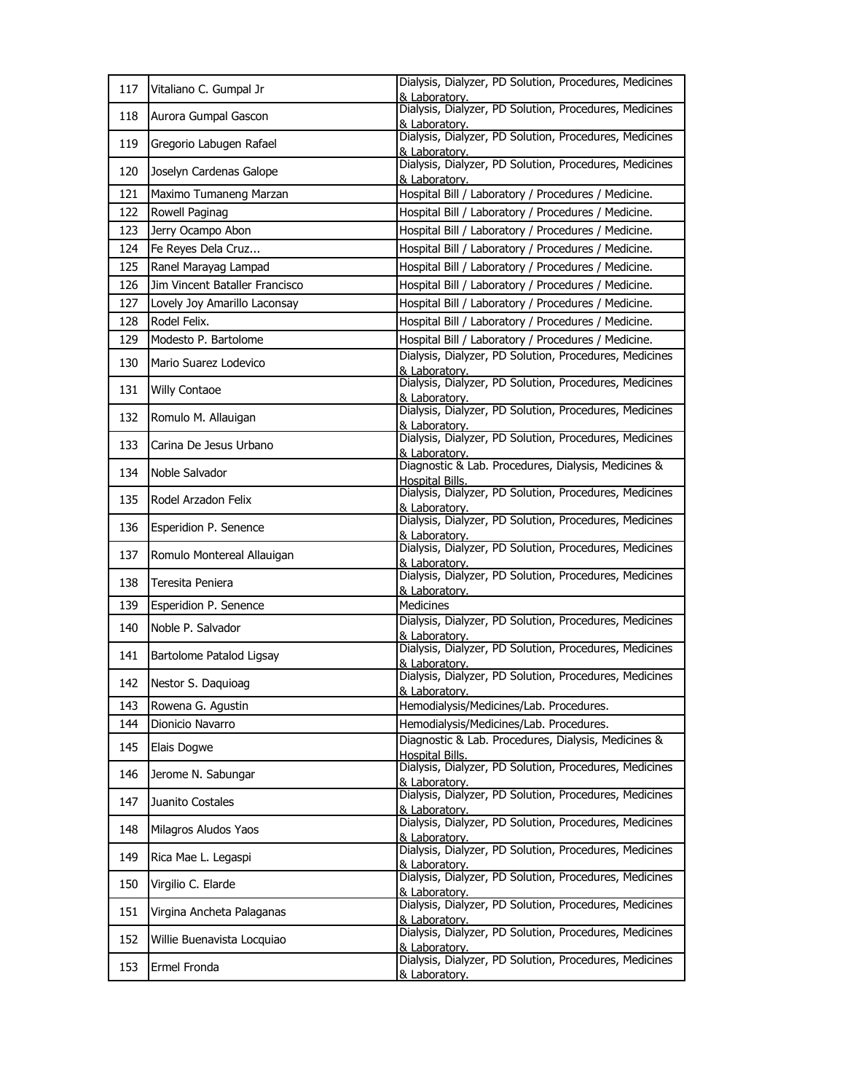| 117 | Vitaliano C. Gumpal Jr         | Dialysis, Dialyzer, PD Solution, Procedures, Medicines<br>& Laboratory.       |
|-----|--------------------------------|-------------------------------------------------------------------------------|
| 118 | Aurora Gumpal Gascon           | Dialysis, Dialyzer, PD Solution, Procedures, Medicines<br>& Laboratorv.       |
| 119 | Gregorio Labugen Rafael        | Dialysis, Dialyzer, PD Solution, Procedures, Medicines<br>& Laboratory.       |
| 120 | Joselyn Cardenas Galope        | Dialysis, Dialyzer, PD Solution, Procedures, Medicines<br>& Laboratory.       |
| 121 | Maximo Tumaneng Marzan         | Hospital Bill / Laboratory / Procedures / Medicine.                           |
| 122 | Rowell Paginag                 | Hospital Bill / Laboratory / Procedures / Medicine.                           |
| 123 | Jerry Ocampo Abon              | Hospital Bill / Laboratory / Procedures / Medicine.                           |
| 124 | Fe Reyes Dela Cruz             | Hospital Bill / Laboratory / Procedures / Medicine.                           |
| 125 | Ranel Marayag Lampad           | Hospital Bill / Laboratory / Procedures / Medicine.                           |
| 126 | Jim Vincent Bataller Francisco | Hospital Bill / Laboratory / Procedures / Medicine.                           |
| 127 | Lovely Joy Amarillo Laconsay   | Hospital Bill / Laboratory / Procedures / Medicine.                           |
| 128 | Rodel Felix.                   | Hospital Bill / Laboratory / Procedures / Medicine.                           |
| 129 | Modesto P. Bartolome           | Hospital Bill / Laboratory / Procedures / Medicine.                           |
| 130 | Mario Suarez Lodevico          | Dialysis, Dialyzer, PD Solution, Procedures, Medicines<br>& Laboratory.       |
| 131 | <b>Willy Contaoe</b>           | Dialysis, Dialyzer, PD Solution, Procedures, Medicines<br>& Laboratory.       |
| 132 | Romulo M. Allauigan            | Dialysis, Dialyzer, PD Solution, Procedures, Medicines<br>& Laboratory.       |
| 133 | Carina De Jesus Urbano         | Dialysis, Dialyzer, PD Solution, Procedures, Medicines<br>& Laboratorv.       |
| 134 | Noble Salvador                 | Diagnostic & Lab. Procedures, Dialysis, Medicines &<br>Hospital Bills.        |
| 135 | Rodel Arzadon Felix            | Dialysis, Dialyzer, PD Solution, Procedures, Medicines<br>& Laboratory.       |
| 136 | Esperidion P. Senence          | Dialysis, Dialyzer, PD Solution, Procedures, Medicines<br>& Laboratorv.       |
| 137 | Romulo Montereal Allauigan     | Dialysis, Dialyzer, PD Solution, Procedures, Medicines<br>& Laboratory.       |
| 138 | Teresita Peniera               | Dialysis, Dialyzer, PD Solution, Procedures, Medicines<br>& Laboratory.       |
| 139 | Esperidion P. Senence          | <b>Medicines</b>                                                              |
| 140 | Noble P. Salvador              | Dialysis, Dialyzer, PD Solution, Procedures, Medicines<br>& Laboratory.       |
| 141 | Bartolome Patalod Ligsay       | Dialysis, Dialyzer, PD Solution, Procedures, Medicines<br>& Laboratory.       |
| 142 | Nestor S. Daquioag             | Dialysis, Dialyzer, PD Solution, Procedures, Medicines<br>& Laboratorv.       |
| 143 | Rowena G. Agustin              | Hemodialysis/Medicines/Lab. Procedures.                                       |
| 144 | Dionicio Navarro               | Hemodialysis/Medicines/Lab. Procedures.                                       |
| 145 | Elais Dogwe                    | Diagnostic & Lab. Procedures, Dialysis, Medicines &<br><b>Hospital Bills.</b> |
| 146 | Jerome N. Sabungar             | Dialysis, Dialyzer, PD Solution, Procedures, Medicines<br>& Laboratory.       |
| 147 | Juanito Costales               | Dialysis, Dialyzer, PD Solution, Procedures, Medicines<br>& Laboratory.       |
| 148 | Milagros Aludos Yaos           | Dialysis, Dialyzer, PD Solution, Procedures, Medicines<br>& Laboratory.       |
| 149 | Rica Mae L. Legaspi            | Dialysis, Dialyzer, PD Solution, Procedures, Medicines<br>& Laboratory.       |
| 150 | Virgilio C. Elarde             | Dialysis, Dialyzer, PD Solution, Procedures, Medicines<br>& Laboratorv.       |
| 151 | Virgina Ancheta Palaganas      | Dialysis, Dialyzer, PD Solution, Procedures, Medicines<br>& Laboratory.       |
| 152 | Willie Buenavista Locquiao     | Dialysis, Dialyzer, PD Solution, Procedures, Medicines<br>& Laboratory.       |
| 153 | Ermel Fronda                   | Dialysis, Dialyzer, PD Solution, Procedures, Medicines<br>& Laboratory.       |